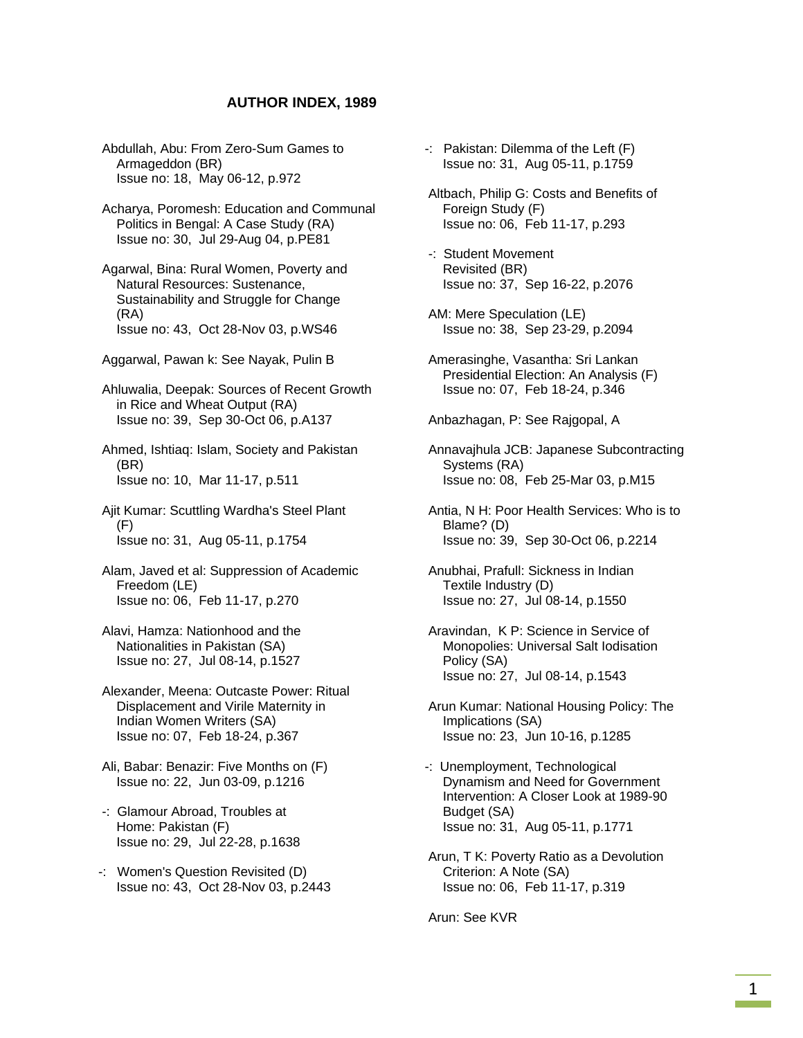## **AUTHOR INDEX, 1989**

- Abdullah, Abu: From Zero-Sum Games to Armageddon (BR) Issue no: 18, May 06-12, p.972
- Acharya, Poromesh: Education and Communal Politics in Bengal: A Case Study (RA) Issue no: 30, Jul 29-Aug 04, p.PE81
- Agarwal, Bina: Rural Women, Poverty and Natural Resources: Sustenance, Sustainability and Struggle for Change (RA) Issue no: 43, Oct 28-Nov 03, p.WS46
- Aggarwal, Pawan k: See Nayak, Pulin B
- Ahluwalia, Deepak: Sources of Recent Growth in Rice and Wheat Output (RA) Issue no: 39, Sep 30-Oct 06, p.A137
- Ahmed, Ishtiaq: Islam, Society and Pakistan (BR) Issue no: 10, Mar 11-17, p.511
- Ajit Kumar: Scuttling Wardha's Steel Plant (F) Issue no: 31, Aug 05-11, p.1754
- Alam, Javed et al: Suppression of Academic Freedom (LE) Issue no: 06, Feb 11-17, p.270
- Alavi, Hamza: Nationhood and the Nationalities in Pakistan (SA) Issue no: 27, Jul 08-14, p.1527
- Alexander, Meena: Outcaste Power: Ritual Displacement and Virile Maternity in Indian Women Writers (SA) Issue no: 07, Feb 18-24, p.367
- Ali, Babar: Benazir: Five Months on (F) Issue no: 22, Jun 03-09, p.1216
- -: Glamour Abroad, Troubles at Home: Pakistan (F) Issue no: 29, Jul 22-28, p.1638
- -: Women's Question Revisited (D) Issue no: 43, Oct 28-Nov 03, p.2443
- -: Pakistan: Dilemma of the Left (F) Issue no: 31, Aug 05-11, p.1759
- Altbach, Philip G: Costs and Benefits of Foreign Study (F) Issue no: 06, Feb 11-17, p.293
- -: Student Movement Revisited (BR) Issue no: 37, Sep 16-22, p.2076
- AM: Mere Speculation (LE) Issue no: 38, Sep 23-29, p.2094
- Amerasinghe, Vasantha: Sri Lankan Presidential Election: An Analysis (F) Issue no: 07, Feb 18-24, p.346

Anbazhagan, P: See Rajgopal, A

- Annavajhula JCB: Japanese Subcontracting Systems (RA) Issue no: 08, Feb 25-Mar 03, p.M15
- Antia, N H: Poor Health Services: Who is to Blame? (D) Issue no: 39, Sep 30-Oct 06, p.2214
- Anubhai, Prafull: Sickness in Indian Textile Industry (D) Issue no: 27, Jul 08-14, p.1550
- Aravindan, K P: Science in Service of Monopolies: Universal Salt Iodisation Policy (SA) Issue no: 27, Jul 08-14, p.1543
- Arun Kumar: National Housing Policy: The Implications (SA) Issue no: 23, Jun 10-16, p.1285
- -: Unemployment, Technological Dynamism and Need for Government Intervention: A Closer Look at 1989-90 Budget (SA) Issue no: 31, Aug 05-11, p.1771
- Arun, T K: Poverty Ratio as a Devolution Criterion: A Note (SA) Issue no: 06, Feb 11-17, p.319

Arun: See KVR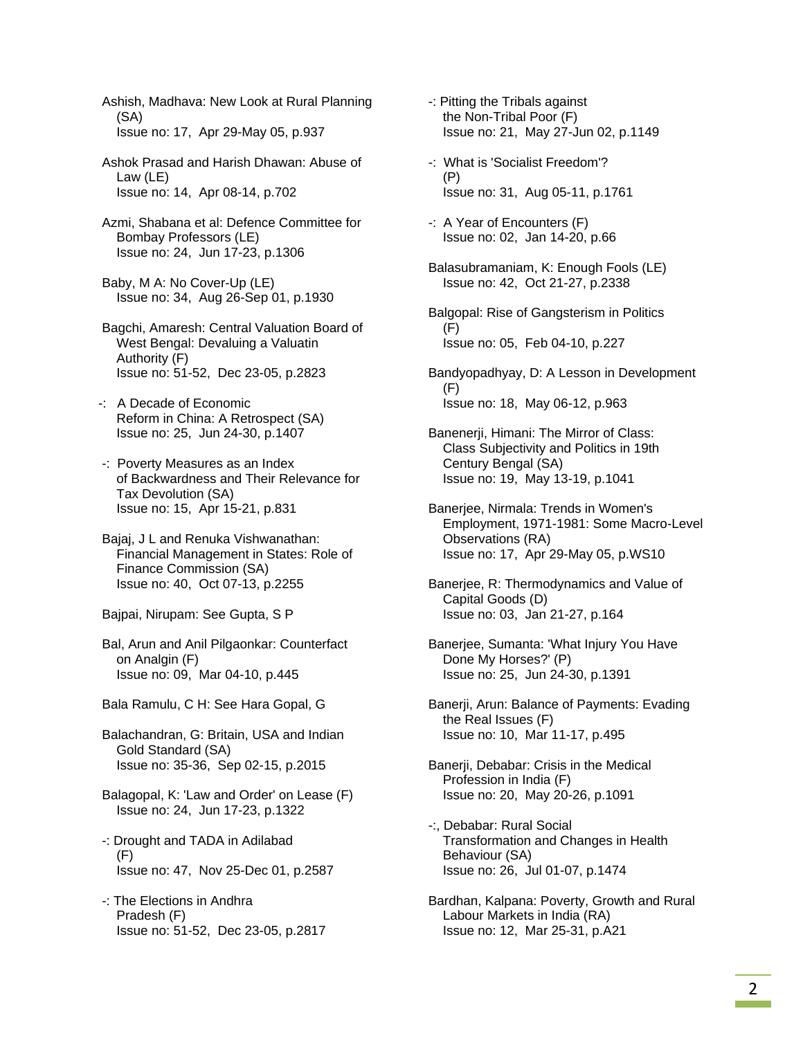Ashish, Madhava: New Look at Rural Planning (SA) Issue no: 17, Apr 29-May 05, p.937

 Ashok Prasad and Harish Dhawan: Abuse of Law (LE) Issue no: 14, Apr 08-14, p.702

 Azmi, Shabana et al: Defence Committee for Bombay Professors (LE) Issue no: 24, Jun 17-23, p.1306

 Baby, M A: No Cover-Up (LE) Issue no: 34, Aug 26-Sep 01, p.1930

 Bagchi, Amaresh: Central Valuation Board of West Bengal: Devaluing a Valuatin Authority (F) Issue no: 51-52, Dec 23-05, p.2823

-: A Decade of Economic Reform in China: A Retrospect (SA) Issue no: 25, Jun 24-30, p.1407

 -: Poverty Measures as an Index of Backwardness and Their Relevance for Tax Devolution (SA) Issue no: 15, Apr 15-21, p.831

 Bajaj, J L and Renuka Vishwanathan: Financial Management in States: Role of Finance Commission (SA) Issue no: 40, Oct 07-13, p.2255

Bajpai, Nirupam: See Gupta, S P

 Bal, Arun and Anil Pilgaonkar: Counterfact on Analgin (F) Issue no: 09, Mar 04-10, p.445

Bala Ramulu, C H: See Hara Gopal, G

 Balachandran, G: Britain, USA and Indian Gold Standard (SA) Issue no: 35-36, Sep 02-15, p.2015

 Balagopal, K: 'Law and Order' on Lease (F) Issue no: 24, Jun 17-23, p.1322

 -: Drought and TADA in Adilabad (F) Issue no: 47, Nov 25-Dec 01, p.2587

 -: The Elections in Andhra Pradesh (F) Issue no: 51-52, Dec 23-05, p.2817  -: Pitting the Tribals against the Non-Tribal Poor (F) Issue no: 21, May 27-Jun 02, p.1149

 -: What is 'Socialist Freedom'? (P) Issue no: 31, Aug 05-11, p.1761

 -: A Year of Encounters (F) Issue no: 02, Jan 14-20, p.66

 Balasubramaniam, K: Enough Fools (LE) Issue no: 42, Oct 21-27, p.2338

 Balgopal: Rise of Gangsterism in Politics  $(F)$ Issue no: 05, Feb 04-10, p.227

 Bandyopadhyay, D: A Lesson in Development (F) Issue no: 18, May 06-12, p.963

 Banenerji, Himani: The Mirror of Class: Class Subjectivity and Politics in 19th Century Bengal (SA) Issue no: 19, May 13-19, p.1041

 Banerjee, Nirmala: Trends in Women's Employment, 1971-1981: Some Macro-Level Observations (RA) Issue no: 17, Apr 29-May 05, p.WS10

 Banerjee, R: Thermodynamics and Value of Capital Goods (D) Issue no: 03, Jan 21-27, p.164

 Banerjee, Sumanta: 'What Injury You Have Done My Horses?' (P) Issue no: 25, Jun 24-30, p.1391

 Banerji, Arun: Balance of Payments: Evading the Real Issues (F) Issue no: 10, Mar 11-17, p.495

 Banerji, Debabar: Crisis in the Medical Profession in India (F) Issue no: 20, May 20-26, p.1091

 -:, Debabar: Rural Social Transformation and Changes in Health Behaviour (SA) Issue no: 26, Jul 01-07, p.1474

 Bardhan, Kalpana: Poverty, Growth and Rural Labour Markets in India (RA) Issue no: 12, Mar 25-31, p.A21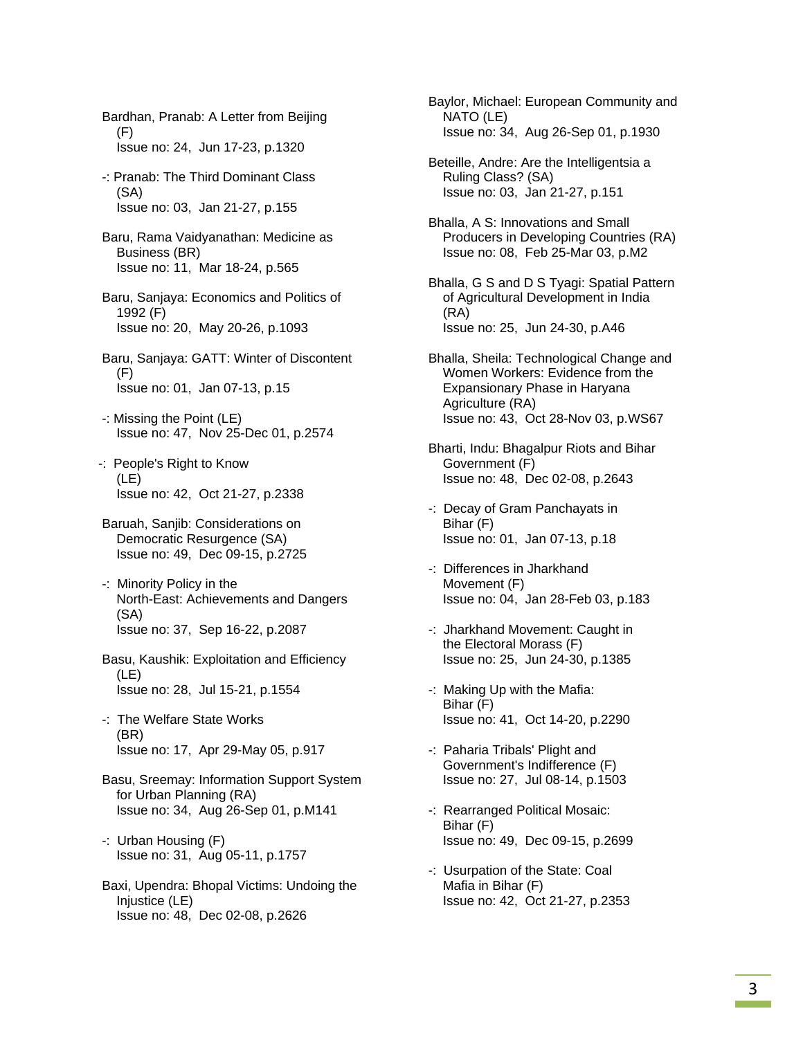Bardhan, Pranab: A Letter from Beijing (F) Issue no: 24, Jun 17-23, p.1320

- -: Pranab: The Third Dominant Class (SA) Issue no: 03, Jan 21-27, p.155
- Baru, Rama Vaidyanathan: Medicine as Business (BR) Issue no: 11, Mar 18-24, p.565
- Baru, Sanjaya: Economics and Politics of 1992 (F) Issue no: 20, May 20-26, p.1093
- Baru, Sanjaya: GATT: Winter of Discontent (F) Issue no: 01, Jan 07-13, p.15
- -: Missing the Point (LE) Issue no: 47, Nov 25-Dec 01, p.2574
- -: People's Right to Know (LE) Issue no: 42, Oct 21-27, p.2338
- Baruah, Sanjib: Considerations on Democratic Resurgence (SA) Issue no: 49, Dec 09-15, p.2725
- -: Minority Policy in the North-East: Achievements and Dangers (SA) Issue no: 37, Sep 16-22, p.2087
- Basu, Kaushik: Exploitation and Efficiency (LE) Issue no: 28, Jul 15-21, p.1554
- -: The Welfare State Works (BR) Issue no: 17, Apr 29-May 05, p.917
- Basu, Sreemay: Information Support System for Urban Planning (RA) Issue no: 34, Aug 26-Sep 01, p.M141
- -: Urban Housing (F) Issue no: 31, Aug 05-11, p.1757
- Baxi, Upendra: Bhopal Victims: Undoing the Injustice (LE) Issue no: 48, Dec 02-08, p.2626
- Baylor, Michael: European Community and NATO (LE) Issue no: 34, Aug 26-Sep 01, p.1930
- Beteille, Andre: Are the Intelligentsia a Ruling Class? (SA) Issue no: 03, Jan 21-27, p.151
- Bhalla, A S: Innovations and Small Producers in Developing Countries (RA) Issue no: 08, Feb 25-Mar 03, p.M2
- Bhalla, G S and D S Tyagi: Spatial Pattern of Agricultural Development in India (RA) Issue no: 25, Jun 24-30, p.A46
- Bhalla, Sheila: Technological Change and Women Workers: Evidence from the Expansionary Phase in Haryana Agriculture (RA) Issue no: 43, Oct 28-Nov 03, p.WS67
- Bharti, Indu: Bhagalpur Riots and Bihar Government (F) Issue no: 48, Dec 02-08, p.2643
- -: Decay of Gram Panchayats in Bihar (F) Issue no: 01, Jan 07-13, p.18
- -: Differences in Jharkhand Movement (F) Issue no: 04, Jan 28-Feb 03, p.183
- -: Jharkhand Movement: Caught in the Electoral Morass (F) Issue no: 25, Jun 24-30, p.1385
- -: Making Up with the Mafia: Bihar (F) Issue no: 41, Oct 14-20, p.2290
- -: Paharia Tribals' Plight and Government's Indifference (F) Issue no: 27, Jul 08-14, p.1503
- -: Rearranged Political Mosaic: Bihar (F) Issue no: 49, Dec 09-15, p.2699
- -: Usurpation of the State: Coal Mafia in Bihar (F) Issue no: 42, Oct 21-27, p.2353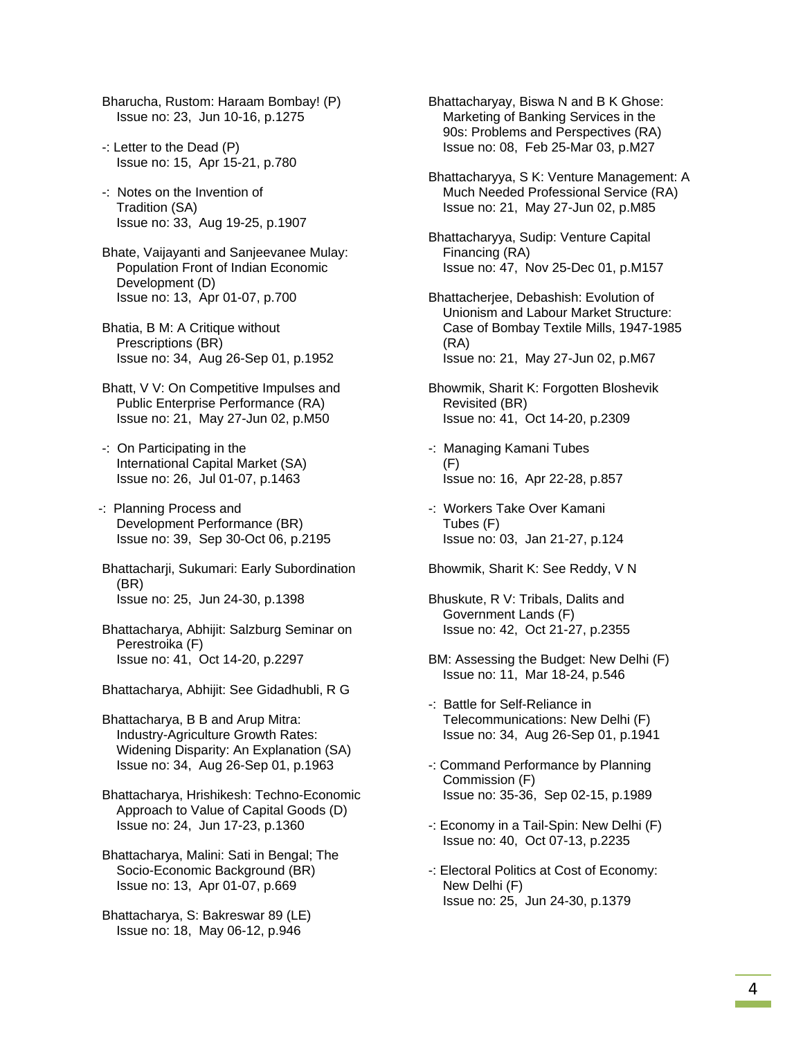- Bharucha, Rustom: Haraam Bombay! (P) Issue no: 23, Jun 10-16, p.1275
- -: Letter to the Dead (P) Issue no: 15, Apr 15-21, p.780
- -: Notes on the Invention of Tradition (SA) Issue no: 33, Aug 19-25, p.1907
- Bhate, Vaijayanti and Sanjeevanee Mulay: Population Front of Indian Economic Development (D) Issue no: 13, Apr 01-07, p.700
- Bhatia, B M: A Critique without Prescriptions (BR) Issue no: 34, Aug 26-Sep 01, p.1952
- Bhatt, V V: On Competitive Impulses and Public Enterprise Performance (RA) Issue no: 21, May 27-Jun 02, p.M50
- -: On Participating in the International Capital Market (SA) Issue no: 26, Jul 01-07, p.1463
- -: Planning Process and Development Performance (BR) Issue no: 39, Sep 30-Oct 06, p.2195
- Bhattacharji, Sukumari: Early Subordination (BR) Issue no: 25, Jun 24-30, p.1398
- Bhattacharya, Abhijit: Salzburg Seminar on Perestroika (F) Issue no: 41, Oct 14-20, p.2297
- Bhattacharya, Abhijit: See Gidadhubli, R G
- Bhattacharya, B B and Arup Mitra: Industry-Agriculture Growth Rates: Widening Disparity: An Explanation (SA) Issue no: 34, Aug 26-Sep 01, p.1963
- Bhattacharya, Hrishikesh: Techno-Economic Approach to Value of Capital Goods (D) Issue no: 24, Jun 17-23, p.1360
- Bhattacharya, Malini: Sati in Bengal; The Socio-Economic Background (BR) Issue no: 13, Apr 01-07, p.669
- Bhattacharya, S: Bakreswar 89 (LE) Issue no: 18, May 06-12, p.946
- Bhattacharyay, Biswa N and B K Ghose: Marketing of Banking Services in the 90s: Problems and Perspectives (RA) Issue no: 08, Feb 25-Mar 03, p.M27
- Bhattacharyya, S K: Venture Management: A Much Needed Professional Service (RA) Issue no: 21, May 27-Jun 02, p.M85
- Bhattacharyya, Sudip: Venture Capital Financing (RA) Issue no: 47, Nov 25-Dec 01, p.M157
- Bhattacherjee, Debashish: Evolution of Unionism and Labour Market Structure: Case of Bombay Textile Mills, 1947-1985 (RA) Issue no: 21, May 27-Jun 02, p.M67
- Bhowmik, Sharit K: Forgotten Bloshevik Revisited (BR) Issue no: 41, Oct 14-20, p.2309
- -: Managing Kamani Tubes  $(F)$ Issue no: 16, Apr 22-28, p.857
- -: Workers Take Over Kamani Tubes (F) Issue no: 03, Jan 21-27, p.124
- Bhowmik, Sharit K: See Reddy, V N
- Bhuskute, R V: Tribals, Dalits and Government Lands (F) Issue no: 42, Oct 21-27, p.2355
- BM: Assessing the Budget: New Delhi (F) Issue no: 11, Mar 18-24, p.546
- -: Battle for Self-Reliance in Telecommunications: New Delhi (F) Issue no: 34, Aug 26-Sep 01, p.1941
- -: Command Performance by Planning Commission (F) Issue no: 35-36, Sep 02-15, p.1989
- -: Economy in a Tail-Spin: New Delhi (F) Issue no: 40, Oct 07-13, p.2235
- -: Electoral Politics at Cost of Economy: New Delhi (F) Issue no: 25, Jun 24-30, p.1379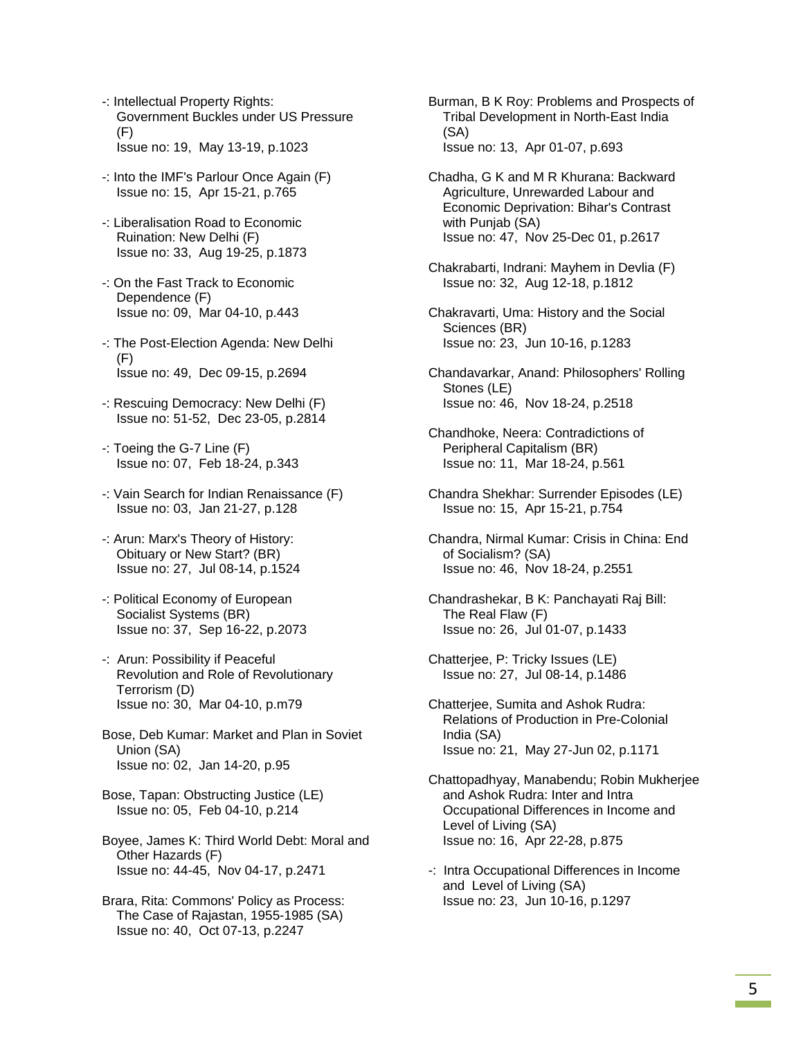- -: Intellectual Property Rights: Government Buckles under US Pressure (F) Issue no: 19, May 13-19, p.1023
- -: Into the IMF's Parlour Once Again (F) Issue no: 15, Apr 15-21, p.765
- -: Liberalisation Road to Economic Ruination: New Delhi (F) Issue no: 33, Aug 19-25, p.1873
- -: On the Fast Track to Economic Dependence (F) Issue no: 09, Mar 04-10, p.443
- -: The Post-Election Agenda: New Delhi (F) Issue no: 49, Dec 09-15, p.2694
- -: Rescuing Democracy: New Delhi (F) Issue no: 51-52, Dec 23-05, p.2814
- -: Toeing the G-7 Line (F) Issue no: 07, Feb 18-24, p.343
- -: Vain Search for Indian Renaissance (F) Issue no: 03, Jan 21-27, p.128
- -: Arun: Marx's Theory of History: Obituary or New Start? (BR) Issue no: 27, Jul 08-14, p.1524
- -: Political Economy of European Socialist Systems (BR) Issue no: 37, Sep 16-22, p.2073
- -: Arun: Possibility if Peaceful Revolution and Role of Revolutionary Terrorism (D) Issue no: 30, Mar 04-10, p.m79
- Bose, Deb Kumar: Market and Plan in Soviet Union (SA) Issue no: 02, Jan 14-20, p.95
- Bose, Tapan: Obstructing Justice (LE) Issue no: 05, Feb 04-10, p.214
- Boyee, James K: Third World Debt: Moral and Other Hazards (F) Issue no: 44-45, Nov 04-17, p.2471
- Brara, Rita: Commons' Policy as Process: The Case of Rajastan, 1955-1985 (SA) Issue no: 40, Oct 07-13, p.2247

 Burman, B K Roy: Problems and Prospects of Tribal Development in North-East India (SA) Issue no: 13, Apr 01-07, p.693

- Chadha, G K and M R Khurana: Backward Agriculture, Unrewarded Labour and Economic Deprivation: Bihar's Contrast with Punjab (SA) Issue no: 47, Nov 25-Dec 01, p.2617
- Chakrabarti, Indrani: Mayhem in Devlia (F) Issue no: 32, Aug 12-18, p.1812
- Chakravarti, Uma: History and the Social Sciences (BR) Issue no: 23, Jun 10-16, p.1283
- Chandavarkar, Anand: Philosophers' Rolling Stones (LE) Issue no: 46, Nov 18-24, p.2518
- Chandhoke, Neera: Contradictions of Peripheral Capitalism (BR) Issue no: 11, Mar 18-24, p.561
- Chandra Shekhar: Surrender Episodes (LE) Issue no: 15, Apr 15-21, p.754
- Chandra, Nirmal Kumar: Crisis in China: End of Socialism? (SA) Issue no: 46, Nov 18-24, p.2551
- Chandrashekar, B K: Panchayati Raj Bill: The Real Flaw (F) Issue no: 26, Jul 01-07, p.1433
- Chatterjee, P: Tricky Issues (LE) Issue no: 27, Jul 08-14, p.1486
- Chatterjee, Sumita and Ashok Rudra: Relations of Production in Pre-Colonial India (SA) Issue no: 21, May 27-Jun 02, p.1171
- Chattopadhyay, Manabendu; Robin Mukherjee and Ashok Rudra: Inter and Intra Occupational Differences in Income and Level of Living (SA) Issue no: 16, Apr 22-28, p.875
- -: Intra Occupational Differences in Income and Level of Living (SA) Issue no: 23, Jun 10-16, p.1297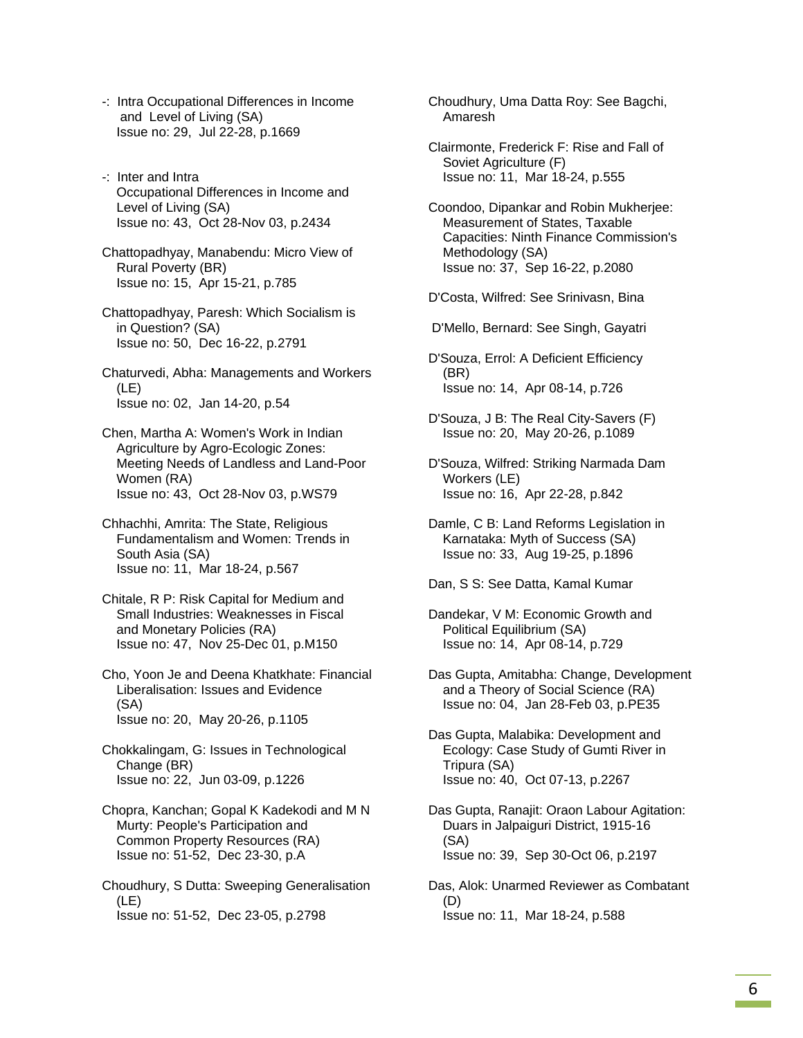- -: Intra Occupational Differences in Income and Level of Living (SA) Issue no: 29, Jul 22-28, p.1669
- -: Inter and Intra Occupational Differences in Income and Level of Living (SA) Issue no: 43, Oct 28-Nov 03, p.2434
- Chattopadhyay, Manabendu: Micro View of Rural Poverty (BR) Issue no: 15, Apr 15-21, p.785
- Chattopadhyay, Paresh: Which Socialism is in Question? (SA) Issue no: 50, Dec 16-22, p.2791
- Chaturvedi, Abha: Managements and Workers (LE) Issue no: 02, Jan 14-20, p.54
- Chen, Martha A: Women's Work in Indian Agriculture by Agro-Ecologic Zones: Meeting Needs of Landless and Land-Poor Women (RA) Issue no: 43, Oct 28-Nov 03, p.WS79
- Chhachhi, Amrita: The State, Religious Fundamentalism and Women: Trends in South Asia (SA) Issue no: 11, Mar 18-24, p.567
- Chitale, R P: Risk Capital for Medium and Small Industries: Weaknesses in Fiscal and Monetary Policies (RA) Issue no: 47, Nov 25-Dec 01, p.M150
- Cho, Yoon Je and Deena Khatkhate: Financial Liberalisation: Issues and Evidence (SA) Issue no: 20, May 20-26, p.1105
- Chokkalingam, G: Issues in Technological Change (BR) Issue no: 22, Jun 03-09, p.1226
- Chopra, Kanchan; Gopal K Kadekodi and M N Murty: People's Participation and Common Property Resources (RA) Issue no: 51-52, Dec 23-30, p.A
- Choudhury, S Dutta: Sweeping Generalisation (LE) Issue no: 51-52, Dec 23-05, p.2798
- Choudhury, Uma Datta Roy: See Bagchi, Amaresh
- Clairmonte, Frederick F: Rise and Fall of Soviet Agriculture (F) Issue no: 11, Mar 18-24, p.555
- Coondoo, Dipankar and Robin Mukherjee: Measurement of States, Taxable Capacities: Ninth Finance Commission's Methodology (SA) Issue no: 37, Sep 16-22, p.2080
- D'Costa, Wilfred: See Srinivasn, Bina
- D'Mello, Bernard: See Singh, Gayatri
- D'Souza, Errol: A Deficient Efficiency (BR) Issue no: 14, Apr 08-14, p.726
- D'Souza, J B: The Real City-Savers (F) Issue no: 20, May 20-26, p.1089
- D'Souza, Wilfred: Striking Narmada Dam Workers (LE) Issue no: 16, Apr 22-28, p.842
- Damle, C B: Land Reforms Legislation in Karnataka: Myth of Success (SA) Issue no: 33, Aug 19-25, p.1896
- Dan, S S: See Datta, Kamal Kumar
- Dandekar, V M: Economic Growth and Political Equilibrium (SA) Issue no: 14, Apr 08-14, p.729
- Das Gupta, Amitabha: Change, Development and a Theory of Social Science (RA) Issue no: 04, Jan 28-Feb 03, p.PE35
- Das Gupta, Malabika: Development and Ecology: Case Study of Gumti River in Tripura (SA) Issue no: 40, Oct 07-13, p.2267
- Das Gupta, Ranajit: Oraon Labour Agitation: Duars in Jalpaiguri District, 1915-16 (SA) Issue no: 39, Sep 30-Oct 06, p.2197
- Das, Alok: Unarmed Reviewer as Combatant (D) Issue no: 11, Mar 18-24, p.588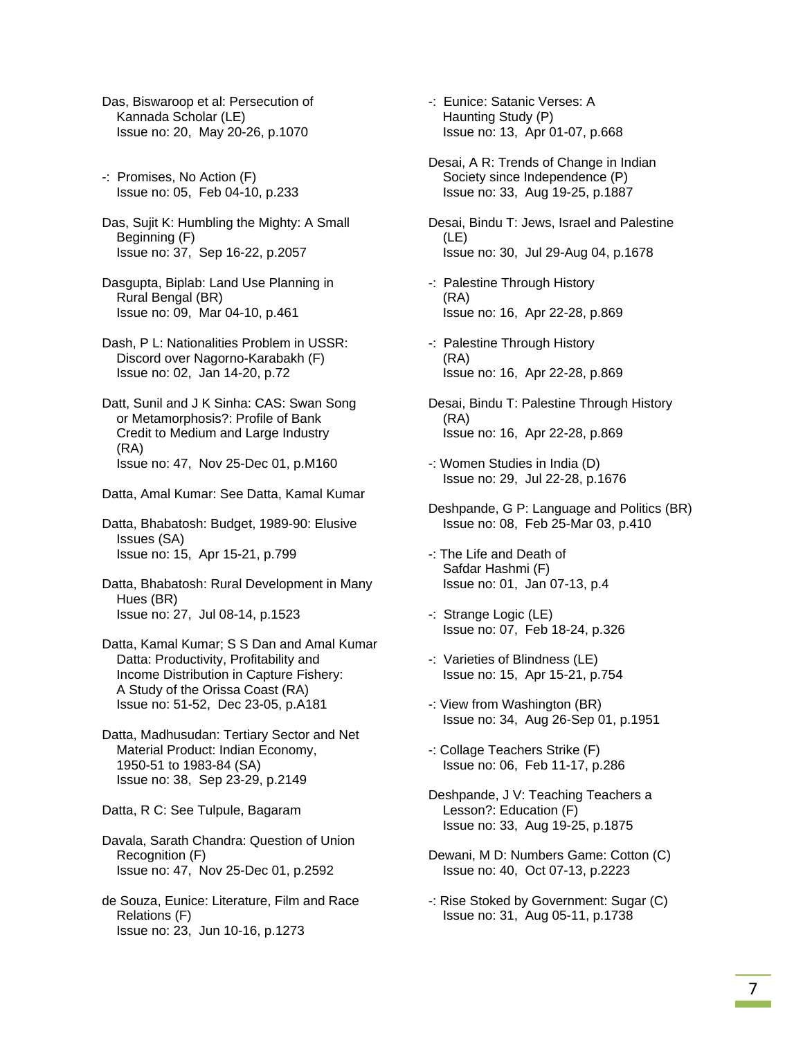Das, Biswaroop et al: Persecution of Kannada Scholar (LE) Issue no: 20, May 20-26, p.1070

- -: Promises, No Action (F) Issue no: 05, Feb 04-10, p.233
- Das, Sujit K: Humbling the Mighty: A Small Beginning (F) Issue no: 37, Sep 16-22, p.2057
- Dasgupta, Biplab: Land Use Planning in Rural Bengal (BR) Issue no: 09, Mar 04-10, p.461
- Dash, P L: Nationalities Problem in USSR: Discord over Nagorno-Karabakh (F) Issue no: 02, Jan 14-20, p.72
- Datt, Sunil and J K Sinha: CAS: Swan Song or Metamorphosis?: Profile of Bank Credit to Medium and Large Industry (RA) Issue no: 47, Nov 25-Dec 01, p.M160
- Datta, Amal Kumar: See Datta, Kamal Kumar

 Datta, Bhabatosh: Budget, 1989-90: Elusive Issues (SA) Issue no: 15, Apr 15-21, p.799

 Datta, Bhabatosh: Rural Development in Many Hues (BR) Issue no: 27, Jul 08-14, p.1523

 Datta, Kamal Kumar; S S Dan and Amal Kumar Datta: Productivity, Profitability and Income Distribution in Capture Fishery: A Study of the Orissa Coast (RA) Issue no: 51-52, Dec 23-05, p.A181

 Datta, Madhusudan: Tertiary Sector and Net Material Product: Indian Economy, 1950-51 to 1983-84 (SA) Issue no: 38, Sep 23-29, p.2149

Datta, R C: See Tulpule, Bagaram

- Davala, Sarath Chandra: Question of Union Recognition (F) Issue no: 47, Nov 25-Dec 01, p.2592
- de Souza, Eunice: Literature, Film and Race Relations (F) Issue no: 23, Jun 10-16, p.1273

 -: Eunice: Satanic Verses: A Haunting Study (P) Issue no: 13, Apr 01-07, p.668

 Desai, A R: Trends of Change in Indian Society since Independence (P) Issue no: 33, Aug 19-25, p.1887

 Desai, Bindu T: Jews, Israel and Palestine (LE) Issue no: 30, Jul 29-Aug 04, p.1678

- -: Palestine Through History (RA) Issue no: 16, Apr 22-28, p.869
- -: Palestine Through History (RA) Issue no: 16, Apr 22-28, p.869
- Desai, Bindu T: Palestine Through History (RA) Issue no: 16, Apr 22-28, p.869
- -: Women Studies in India (D) Issue no: 29, Jul 22-28, p.1676
- Deshpande, G P: Language and Politics (BR) Issue no: 08, Feb 25-Mar 03, p.410
- -: The Life and Death of Safdar Hashmi (F) Issue no: 01, Jan 07-13, p.4
- -: Strange Logic (LE) Issue no: 07, Feb 18-24, p.326
- -: Varieties of Blindness (LE) Issue no: 15, Apr 15-21, p.754
- -: View from Washington (BR) Issue no: 34, Aug 26-Sep 01, p.1951
- -: Collage Teachers Strike (F) Issue no: 06, Feb 11-17, p.286
- Deshpande, J V: Teaching Teachers a Lesson?: Education (F) Issue no: 33, Aug 19-25, p.1875
- Dewani, M D: Numbers Game: Cotton (C) Issue no: 40, Oct 07-13, p.2223
- -: Rise Stoked by Government: Sugar (C) Issue no: 31, Aug 05-11, p.1738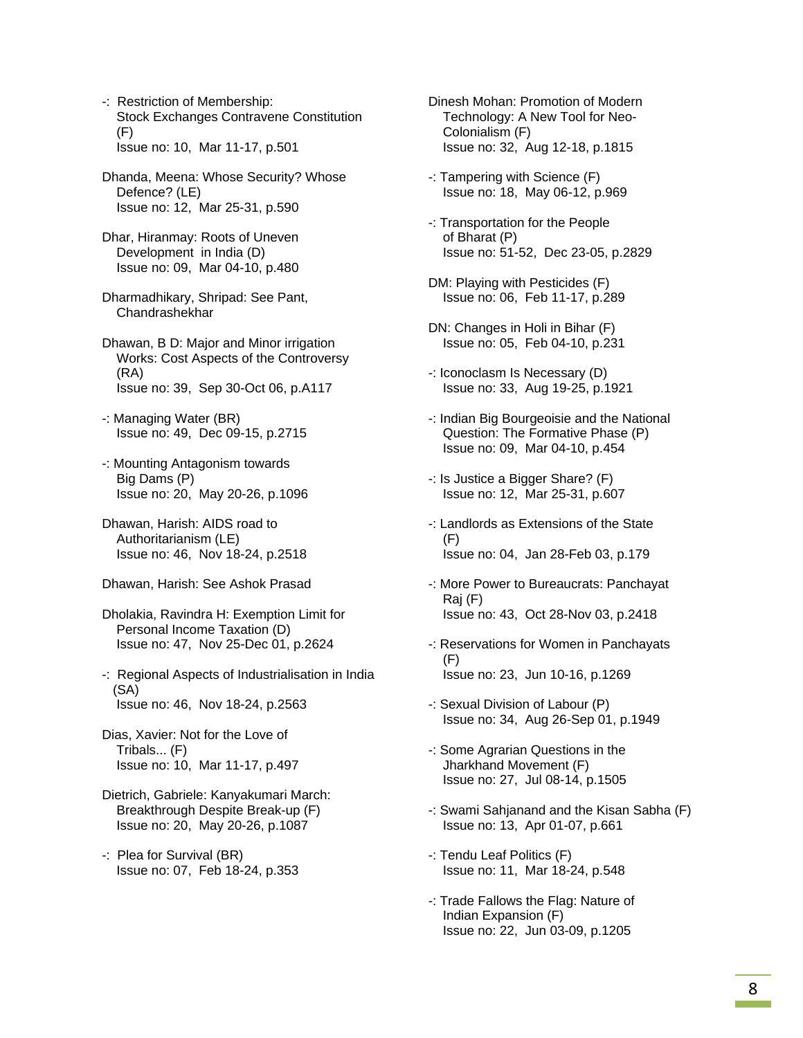- -: Restriction of Membership: Stock Exchanges Contravene Constitution (F) Issue no: 10, Mar 11-17, p.501
- Dhanda, Meena: Whose Security? Whose Defence? (LE) Issue no: 12, Mar 25-31, p.590
- Dhar, Hiranmay: Roots of Uneven Development in India (D) Issue no: 09, Mar 04-10, p.480
- Dharmadhikary, Shripad: See Pant, Chandrashekhar
- Dhawan, B D: Major and Minor irrigation Works: Cost Aspects of the Controversy (RA) Issue no: 39, Sep 30-Oct 06, p.A117
- -: Managing Water (BR) Issue no: 49, Dec 09-15, p.2715
- -: Mounting Antagonism towards Big Dams (P) Issue no: 20, May 20-26, p.1096
- Dhawan, Harish: AIDS road to Authoritarianism (LE) Issue no: 46, Nov 18-24, p.2518
- Dhawan, Harish: See Ashok Prasad
- Dholakia, Ravindra H: Exemption Limit for Personal Income Taxation (D) Issue no: 47, Nov 25-Dec 01, p.2624
- -: Regional Aspects of Industrialisation in India (SA) Issue no: 46, Nov 18-24, p.2563
- Dias, Xavier: Not for the Love of Tribals... (F) Issue no: 10, Mar 11-17, p.497
- Dietrich, Gabriele: Kanyakumari March: Breakthrough Despite Break-up (F) Issue no: 20, May 20-26, p.1087
- -: Plea for Survival (BR) Issue no: 07, Feb 18-24, p.353
- Dinesh Mohan: Promotion of Modern Technology: A New Tool for Neo- Colonialism (F) Issue no: 32, Aug 12-18, p.1815
- -: Tampering with Science (F) Issue no: 18, May 06-12, p.969
- -: Transportation for the People of Bharat (P) Issue no: 51-52, Dec 23-05, p.2829
- DM: Playing with Pesticides (F) Issue no: 06, Feb 11-17, p.289
- DN: Changes in Holi in Bihar (F) Issue no: 05, Feb 04-10, p.231
- -: Iconoclasm Is Necessary (D) Issue no: 33, Aug 19-25, p.1921
- -: Indian Big Bourgeoisie and the National Question: The Formative Phase (P) Issue no: 09, Mar 04-10, p.454
- -: Is Justice a Bigger Share? (F) Issue no: 12, Mar 25-31, p.607
- -: Landlords as Extensions of the State  $(F)$ Issue no: 04, Jan 28-Feb 03, p.179
- -: More Power to Bureaucrats: Panchayat Raj (F) Issue no: 43, Oct 28-Nov 03, p.2418
- -: Reservations for Women in Panchayats (F) Issue no: 23, Jun 10-16, p.1269
- -: Sexual Division of Labour (P) Issue no: 34, Aug 26-Sep 01, p.1949
- -: Some Agrarian Questions in the Jharkhand Movement (F) Issue no: 27, Jul 08-14, p.1505
- -: Swami Sahjanand and the Kisan Sabha (F) Issue no: 13, Apr 01-07, p.661
- -: Tendu Leaf Politics (F) Issue no: 11, Mar 18-24, p.548
- -: Trade Fallows the Flag: Nature of Indian Expansion (F) Issue no: 22, Jun 03-09, p.1205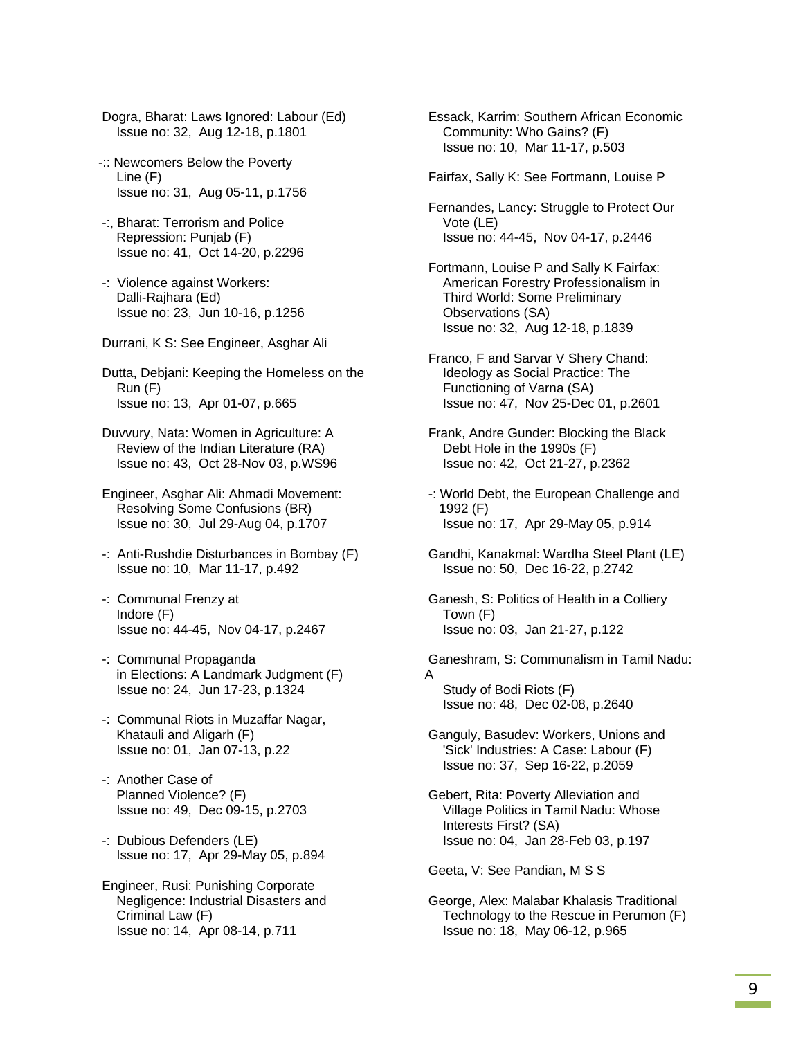Dogra, Bharat: Laws Ignored: Labour (Ed) Issue no: 32, Aug 12-18, p.1801

- -:: Newcomers Below the Poverty Line (F) Issue no: 31, Aug 05-11, p.1756
- -:, Bharat: Terrorism and Police Repression: Punjab (F) Issue no: 41, Oct 14-20, p.2296
- -: Violence against Workers: Dalli-Rajhara (Ed) Issue no: 23, Jun 10-16, p.1256
- Durrani, K S: See Engineer, Asghar Ali

 Dutta, Debjani: Keeping the Homeless on the Run (F) Issue no: 13, Apr 01-07, p.665

 Duvvury, Nata: Women in Agriculture: A Review of the Indian Literature (RA) Issue no: 43, Oct 28-Nov 03, p.WS96

 Engineer, Asghar Ali: Ahmadi Movement: Resolving Some Confusions (BR) Issue no: 30, Jul 29-Aug 04, p.1707

- -: Anti-Rushdie Disturbances in Bombay (F) Issue no: 10, Mar 11-17, p.492
- -: Communal Frenzy at Indore (F) Issue no: 44-45, Nov 04-17, p.2467
- -: Communal Propaganda in Elections: A Landmark Judgment (F) Issue no: 24, Jun 17-23, p.1324
- -: Communal Riots in Muzaffar Nagar, Khatauli and Aligarh (F) Issue no: 01, Jan 07-13, p.22
- -: Another Case of Planned Violence? (F) Issue no: 49, Dec 09-15, p.2703
- -: Dubious Defenders (LE) Issue no: 17, Apr 29-May 05, p.894
- Engineer, Rusi: Punishing Corporate Negligence: Industrial Disasters and Criminal Law (F) Issue no: 14, Apr 08-14, p.711

 Essack, Karrim: Southern African Economic Community: Who Gains? (F) Issue no: 10, Mar 11-17, p.503

Fairfax, Sally K: See Fortmann, Louise P

 Fernandes, Lancy: Struggle to Protect Our Vote (LE) Issue no: 44-45, Nov 04-17, p.2446

 Fortmann, Louise P and Sally K Fairfax: American Forestry Professionalism in Third World: Some Preliminary Observations (SA) Issue no: 32, Aug 12-18, p.1839

- Franco, F and Sarvar V Shery Chand: Ideology as Social Practice: The Functioning of Varna (SA) Issue no: 47, Nov 25-Dec 01, p.2601
- Frank, Andre Gunder: Blocking the Black Debt Hole in the 1990s (F) Issue no: 42, Oct 21-27, p.2362
- -: World Debt, the European Challenge and 1992 (F) Issue no: 17, Apr 29-May 05, p.914
- Gandhi, Kanakmal: Wardha Steel Plant (LE) Issue no: 50, Dec 16-22, p.2742
- Ganesh, S: Politics of Health in a Colliery Town (F) Issue no: 03, Jan 21-27, p.122

 Ganeshram, S: Communalism in Tamil Nadu: A Study of Bodi Riots (F)

Issue no: 48, Dec 02-08, p.2640

- Ganguly, Basudev: Workers, Unions and 'Sick' Industries: A Case: Labour (F) Issue no: 37, Sep 16-22, p.2059
- Gebert, Rita: Poverty Alleviation and Village Politics in Tamil Nadu: Whose Interests First? (SA) Issue no: 04, Jan 28-Feb 03, p.197

Geeta, V: See Pandian, M S S

 George, Alex: Malabar Khalasis Traditional Technology to the Rescue in Perumon (F) Issue no: 18, May 06-12, p.965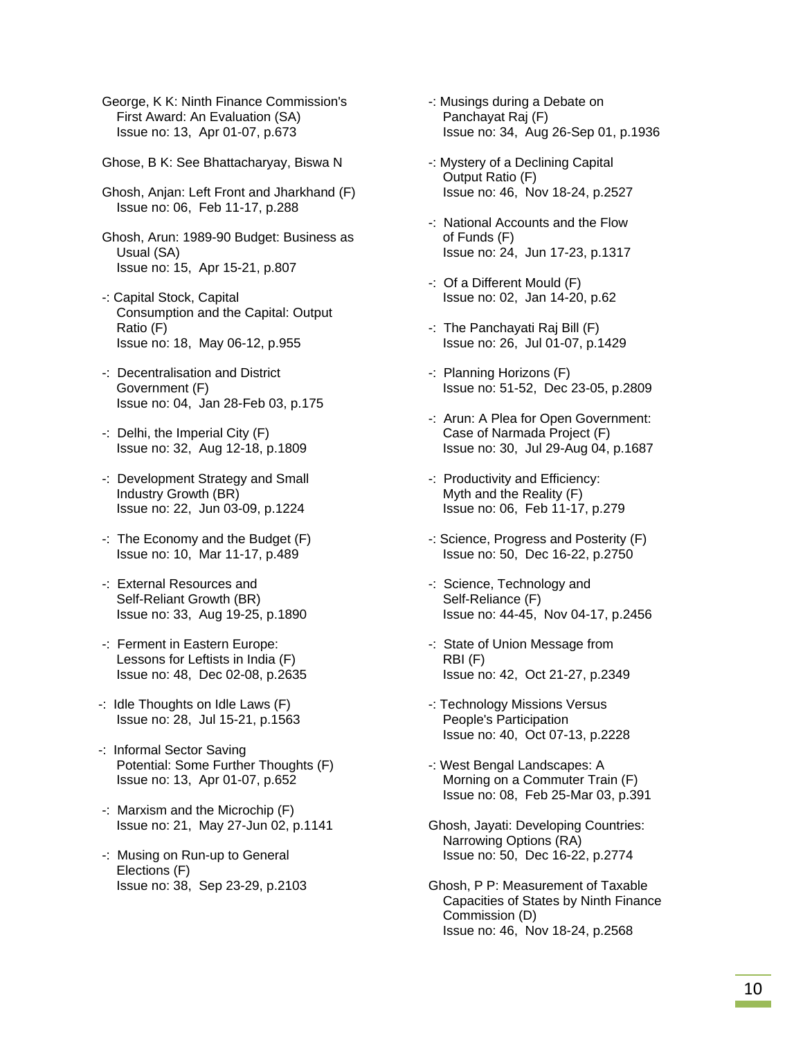George, K K: Ninth Finance Commission's First Award: An Evaluation (SA) Issue no: 13, Apr 01-07, p.673

- Ghose, B K: See Bhattacharyay, Biswa N
- Ghosh, Anjan: Left Front and Jharkhand (F) Issue no: 06, Feb 11-17, p.288
- Ghosh, Arun: 1989-90 Budget: Business as Usual (SA) Issue no: 15, Apr 15-21, p.807
- -: Capital Stock, Capital Consumption and the Capital: Output Ratio (F) Issue no: 18, May 06-12, p.955
- -: Decentralisation and District Government (F) Issue no: 04, Jan 28-Feb 03, p.175
- -: Delhi, the Imperial City (F) Issue no: 32, Aug 12-18, p.1809
- -: Development Strategy and Small Industry Growth (BR) Issue no: 22, Jun 03-09, p.1224
- -: The Economy and the Budget (F) Issue no: 10, Mar 11-17, p.489
- -: External Resources and Self-Reliant Growth (BR) Issue no: 33, Aug 19-25, p.1890
- -: Ferment in Eastern Europe: Lessons for Leftists in India (F) Issue no: 48, Dec 02-08, p.2635
- -: Idle Thoughts on Idle Laws (F) Issue no: 28, Jul 15-21, p.1563
- -: Informal Sector Saving Potential: Some Further Thoughts (F) Issue no: 13, Apr 01-07, p.652
- -: Marxism and the Microchip (F) Issue no: 21, May 27-Jun 02, p.1141
- -: Musing on Run-up to General Elections (F) Issue no: 38, Sep 23-29, p.2103
- -: Musings during a Debate on Panchayat Raj (F) Issue no: 34, Aug 26-Sep 01, p.1936
- -: Mystery of a Declining Capital Output Ratio (F) Issue no: 46, Nov 18-24, p.2527
- -: National Accounts and the Flow of Funds (F) Issue no: 24, Jun 17-23, p.1317
- -: Of a Different Mould (F) Issue no: 02, Jan 14-20, p.62
- -: The Panchayati Raj Bill (F) Issue no: 26, Jul 01-07, p.1429
- -: Planning Horizons (F) Issue no: 51-52, Dec 23-05, p.2809
- -: Arun: A Plea for Open Government: Case of Narmada Project (F) Issue no: 30, Jul 29-Aug 04, p.1687
- -: Productivity and Efficiency: Myth and the Reality (F) Issue no: 06, Feb 11-17, p.279
- -: Science, Progress and Posterity (F) Issue no: 50, Dec 16-22, p.2750
- -: Science, Technology and Self-Reliance (F) Issue no: 44-45, Nov 04-17, p.2456
- -: State of Union Message from RBI (F) Issue no: 42, Oct 21-27, p.2349
- -: Technology Missions Versus People's Participation Issue no: 40, Oct 07-13, p.2228
- -: West Bengal Landscapes: A Morning on a Commuter Train (F) Issue no: 08, Feb 25-Mar 03, p.391
- Ghosh, Jayati: Developing Countries: Narrowing Options (RA) Issue no: 50, Dec 16-22, p.2774
- Ghosh, P P: Measurement of Taxable Capacities of States by Ninth Finance Commission (D) Issue no: 46, Nov 18-24, p.2568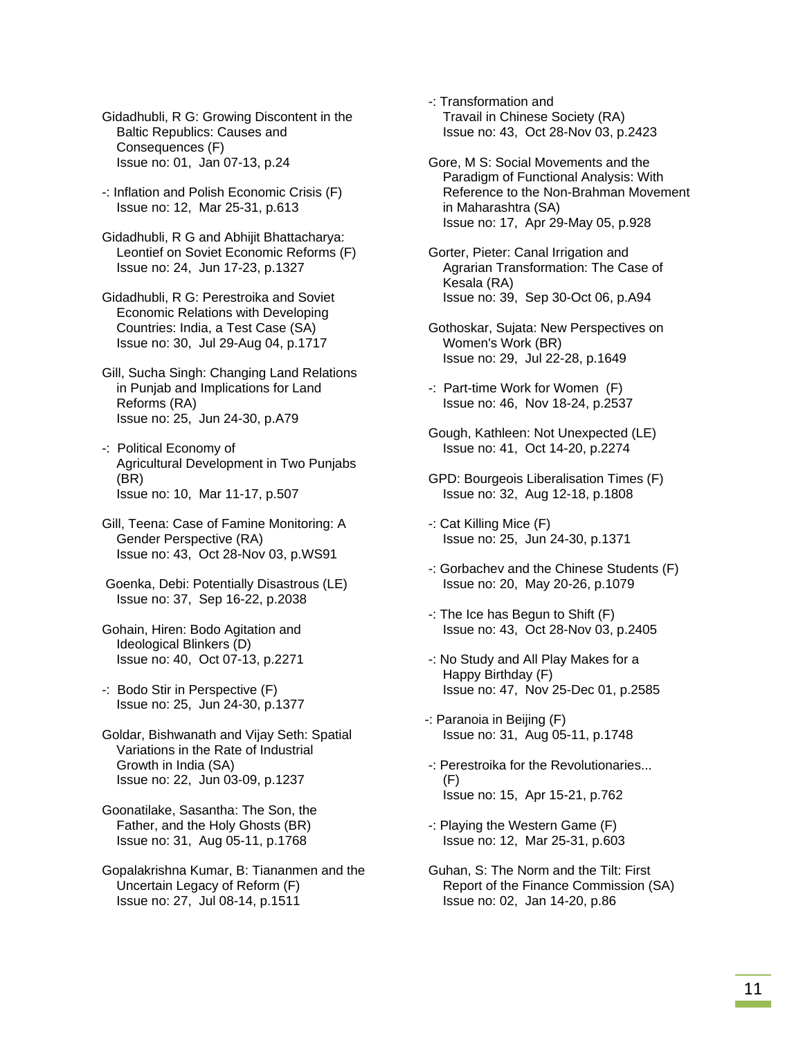Gidadhubli, R G: Growing Discontent in the Baltic Republics: Causes and Consequences (F) Issue no: 01, Jan 07-13, p.24

 -: Inflation and Polish Economic Crisis (F) Issue no: 12, Mar 25-31, p.613

 Gidadhubli, R G and Abhijit Bhattacharya: Leontief on Soviet Economic Reforms (F) Issue no: 24, Jun 17-23, p.1327

 Gidadhubli, R G: Perestroika and Soviet Economic Relations with Developing Countries: India, a Test Case (SA) Issue no: 30, Jul 29-Aug 04, p.1717

 Gill, Sucha Singh: Changing Land Relations in Punjab and Implications for Land Reforms (RA) Issue no: 25, Jun 24-30, p.A79

 -: Political Economy of Agricultural Development in Two Punjabs (BR) Issue no: 10, Mar 11-17, p.507

 Gill, Teena: Case of Famine Monitoring: A Gender Perspective (RA) Issue no: 43, Oct 28-Nov 03, p.WS91

 Goenka, Debi: Potentially Disastrous (LE) Issue no: 37, Sep 16-22, p.2038

 Gohain, Hiren: Bodo Agitation and Ideological Blinkers (D) Issue no: 40, Oct 07-13, p.2271

 -: Bodo Stir in Perspective (F) Issue no: 25, Jun 24-30, p.1377

 Goldar, Bishwanath and Vijay Seth: Spatial Variations in the Rate of Industrial Growth in India (SA) Issue no: 22, Jun 03-09, p.1237

 Goonatilake, Sasantha: The Son, the Father, and the Holy Ghosts (BR) Issue no: 31, Aug 05-11, p.1768

 Gopalakrishna Kumar, B: Tiananmen and the Uncertain Legacy of Reform (F) Issue no: 27, Jul 08-14, p.1511

 -: Transformation and Travail in Chinese Society (RA) Issue no: 43, Oct 28-Nov 03, p.2423

 Gore, M S: Social Movements and the Paradigm of Functional Analysis: With Reference to the Non-Brahman Movement in Maharashtra (SA) Issue no: 17, Apr 29-May 05, p.928

 Gorter, Pieter: Canal Irrigation and Agrarian Transformation: The Case of Kesala (RA) Issue no: 39, Sep 30-Oct 06, p.A94

 Gothoskar, Sujata: New Perspectives on Women's Work (BR) Issue no: 29, Jul 22-28, p.1649

 -: Part-time Work for Women (F) Issue no: 46, Nov 18-24, p.2537

 Gough, Kathleen: Not Unexpected (LE) Issue no: 41, Oct 14-20, p.2274

 GPD: Bourgeois Liberalisation Times (F) Issue no: 32, Aug 12-18, p.1808

 -: Cat Killing Mice (F) Issue no: 25, Jun 24-30, p.1371

 -: Gorbachev and the Chinese Students (F) Issue no: 20, May 20-26, p.1079

 -: The Ice has Begun to Shift (F) Issue no: 43, Oct 28-Nov 03, p.2405

 -: No Study and All Play Makes for a Happy Birthday (F) Issue no: 47, Nov 25-Dec 01, p.2585

-: Paranoia in Beijing (F) Issue no: 31, Aug 05-11, p.1748

 -: Perestroika for the Revolutionaries... (F) Issue no: 15, Apr 15-21, p.762

 -: Playing the Western Game (F) Issue no: 12, Mar 25-31, p.603

 Guhan, S: The Norm and the Tilt: First Report of the Finance Commission (SA) Issue no: 02, Jan 14-20, p.86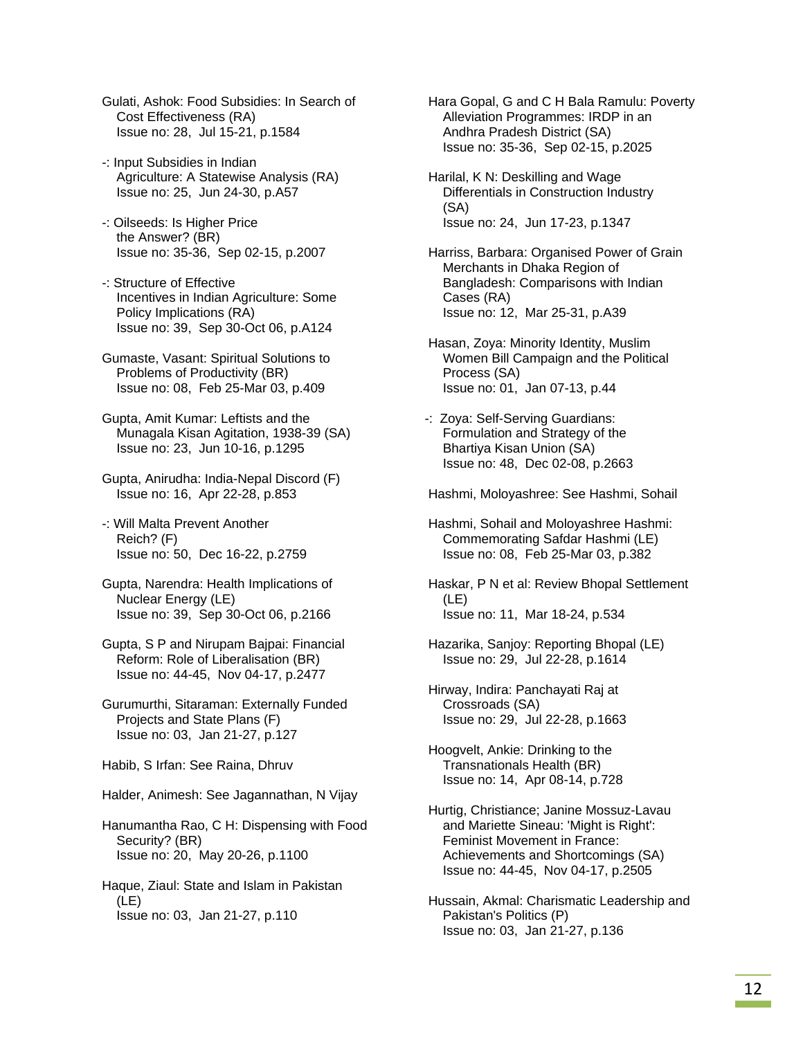- Gulati, Ashok: Food Subsidies: In Search of Cost Effectiveness (RA) Issue no: 28, Jul 15-21, p.1584
- -: Input Subsidies in Indian Agriculture: A Statewise Analysis (RA) Issue no: 25, Jun 24-30, p.A57
- -: Oilseeds: Is Higher Price the Answer? (BR) Issue no: 35-36, Sep 02-15, p.2007
- -: Structure of Effective Incentives in Indian Agriculture: Some Policy Implications (RA) Issue no: 39, Sep 30-Oct 06, p.A124
- Gumaste, Vasant: Spiritual Solutions to Problems of Productivity (BR) Issue no: 08, Feb 25-Mar 03, p.409
- Gupta, Amit Kumar: Leftists and the Munagala Kisan Agitation, 1938-39 (SA) Issue no: 23, Jun 10-16, p.1295
- Gupta, Anirudha: India-Nepal Discord (F) Issue no: 16, Apr 22-28, p.853
- -: Will Malta Prevent Another Reich? (F) Issue no: 50, Dec 16-22, p.2759
- Gupta, Narendra: Health Implications of Nuclear Energy (LE) Issue no: 39, Sep 30-Oct 06, p.2166
- Gupta, S P and Nirupam Bajpai: Financial Reform: Role of Liberalisation (BR) Issue no: 44-45, Nov 04-17, p.2477
- Gurumurthi, Sitaraman: Externally Funded Projects and State Plans (F) Issue no: 03, Jan 21-27, p.127
- Habib, S Irfan: See Raina, Dhruv
- Halder, Animesh: See Jagannathan, N Vijay
- Hanumantha Rao, C H: Dispensing with Food Security? (BR) Issue no: 20, May 20-26, p.1100
- Haque, Ziaul: State and Islam in Pakistan (LE) Issue no: 03, Jan 21-27, p.110

 Hara Gopal, G and C H Bala Ramulu: Poverty Alleviation Programmes: IRDP in an Andhra Pradesh District (SA) Issue no: 35-36, Sep 02-15, p.2025

- Harilal, K N: Deskilling and Wage Differentials in Construction Industry (SA) Issue no: 24, Jun 17-23, p.1347
- Harriss, Barbara: Organised Power of Grain Merchants in Dhaka Region of Bangladesh: Comparisons with Indian Cases (RA) Issue no: 12, Mar 25-31, p.A39
- Hasan, Zoya: Minority Identity, Muslim Women Bill Campaign and the Political Process (SA) Issue no: 01, Jan 07-13, p.44
- -: Zoya: Self-Serving Guardians: Formulation and Strategy of the Bhartiya Kisan Union (SA) Issue no: 48, Dec 02-08, p.2663

Hashmi, Moloyashree: See Hashmi, Sohail

- Hashmi, Sohail and Moloyashree Hashmi: Commemorating Safdar Hashmi (LE) Issue no: 08, Feb 25-Mar 03, p.382
- Haskar, P N et al: Review Bhopal Settlement (LE) Issue no: 11, Mar 18-24, p.534
- Hazarika, Sanjoy: Reporting Bhopal (LE) Issue no: 29, Jul 22-28, p.1614
- Hirway, Indira: Panchayati Raj at Crossroads (SA) Issue no: 29, Jul 22-28, p.1663
- Hoogvelt, Ankie: Drinking to the Transnationals Health (BR) Issue no: 14, Apr 08-14, p.728
- Hurtig, Christiance; Janine Mossuz-Lavau and Mariette Sineau: 'Might is Right': Feminist Movement in France: Achievements and Shortcomings (SA) Issue no: 44-45, Nov 04-17, p.2505
- Hussain, Akmal: Charismatic Leadership and Pakistan's Politics (P) Issue no: 03, Jan 21-27, p.136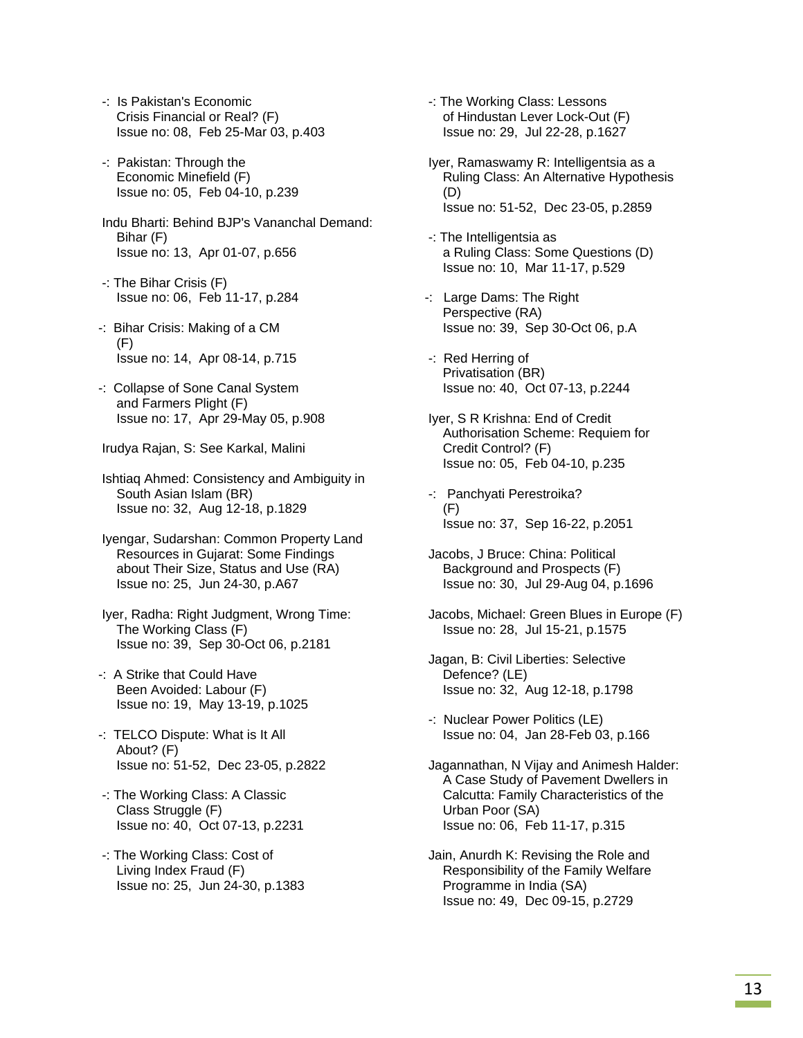- -: Is Pakistan's Economic Crisis Financial or Real? (F) Issue no: 08, Feb 25-Mar 03, p.403
- -: Pakistan: Through the Economic Minefield (F) Issue no: 05, Feb 04-10, p.239
- Indu Bharti: Behind BJP's Vananchal Demand: Bihar (F) Issue no: 13, Apr 01-07, p.656
- -: The Bihar Crisis (F) Issue no: 06, Feb 11-17, p.284
- -: Bihar Crisis: Making of a CM (F) Issue no: 14, Apr 08-14, p.715
- -: Collapse of Sone Canal System and Farmers Plight (F) Issue no: 17, Apr 29-May 05, p.908
- Irudya Rajan, S: See Karkal, Malini
- Ishtiaq Ahmed: Consistency and Ambiguity in South Asian Islam (BR) Issue no: 32, Aug 12-18, p.1829
- Iyengar, Sudarshan: Common Property Land Resources in Gujarat: Some Findings about Their Size, Status and Use (RA) Issue no: 25, Jun 24-30, p.A67
- Iyer, Radha: Right Judgment, Wrong Time: The Working Class (F) Issue no: 39, Sep 30-Oct 06, p.2181
- -: A Strike that Could Have Been Avoided: Labour (F) Issue no: 19, May 13-19, p.1025
- -: TELCO Dispute: What is It All About? (F) Issue no: 51-52, Dec 23-05, p.2822
- -: The Working Class: A Classic Class Struggle (F) Issue no: 40, Oct 07-13, p.2231
- -: The Working Class: Cost of Living Index Fraud (F) Issue no: 25, Jun 24-30, p.1383
- -: The Working Class: Lessons of Hindustan Lever Lock-Out (F) Issue no: 29, Jul 22-28, p.1627
- Iyer, Ramaswamy R: Intelligentsia as a Ruling Class: An Alternative Hypothesis (D) Issue no: 51-52, Dec 23-05, p.2859
- -: The Intelligentsia as a Ruling Class: Some Questions (D) Issue no: 10, Mar 11-17, p.529
- -: Large Dams: The Right Perspective (RA) Issue no: 39, Sep 30-Oct 06, p.A
- -: Red Herring of Privatisation (BR) Issue no: 40, Oct 07-13, p.2244
- Iyer, S R Krishna: End of Credit Authorisation Scheme: Requiem for Credit Control? (F) Issue no: 05, Feb 04-10, p.235
- -: Panchyati Perestroika? (F) Issue no: 37, Sep 16-22, p.2051
- Jacobs, J Bruce: China: Political Background and Prospects (F) Issue no: 30, Jul 29-Aug 04, p.1696
- Jacobs, Michael: Green Blues in Europe (F) Issue no: 28, Jul 15-21, p.1575
- Jagan, B: Civil Liberties: Selective Defence? (LE) Issue no: 32, Aug 12-18, p.1798
- -: Nuclear Power Politics (LE) Issue no: 04, Jan 28-Feb 03, p.166
- Jagannathan, N Vijay and Animesh Halder: A Case Study of Pavement Dwellers in Calcutta: Family Characteristics of the Urban Poor (SA) Issue no: 06, Feb 11-17, p.315
- Jain, Anurdh K: Revising the Role and Responsibility of the Family Welfare Programme in India (SA) Issue no: 49, Dec 09-15, p.2729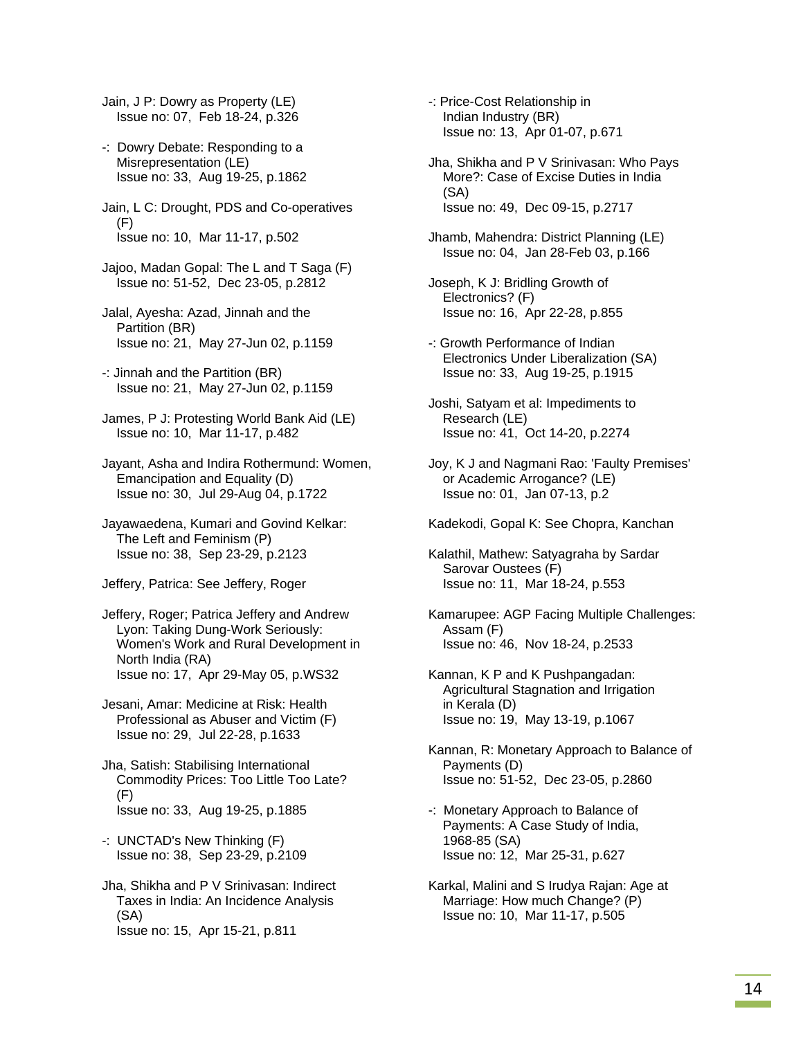Jain, J P: Dowry as Property (LE) Issue no: 07, Feb 18-24, p.326

- -: Dowry Debate: Responding to a Misrepresentation (LE) Issue no: 33, Aug 19-25, p.1862
- Jain, L C: Drought, PDS and Co-operatives (F) Issue no: 10, Mar 11-17, p.502
- Jajoo, Madan Gopal: The L and T Saga (F) Issue no: 51-52, Dec 23-05, p.2812
- Jalal, Ayesha: Azad, Jinnah and the Partition (BR) Issue no: 21, May 27-Jun 02, p.1159
- -: Jinnah and the Partition (BR) Issue no: 21, May 27-Jun 02, p.1159
- James, P J: Protesting World Bank Aid (LE) Issue no: 10, Mar 11-17, p.482
- Jayant, Asha and Indira Rothermund: Women, Emancipation and Equality (D) Issue no: 30, Jul 29-Aug 04, p.1722
- Jayawaedena, Kumari and Govind Kelkar: The Left and Feminism (P) Issue no: 38, Sep 23-29, p.2123
- Jeffery, Patrica: See Jeffery, Roger
- Jeffery, Roger; Patrica Jeffery and Andrew Lyon: Taking Dung-Work Seriously: Women's Work and Rural Development in North India (RA) Issue no: 17, Apr 29-May 05, p.WS32
- Jesani, Amar: Medicine at Risk: Health Professional as Abuser and Victim (F) Issue no: 29, Jul 22-28, p.1633
- Jha, Satish: Stabilising International Commodity Prices: Too Little Too Late? (F) Issue no: 33, Aug 19-25, p.1885
- -: UNCTAD's New Thinking (F) Issue no: 38, Sep 23-29, p.2109
- Jha, Shikha and P V Srinivasan: Indirect Taxes in India: An Incidence Analysis (SA) Issue no: 15, Apr 15-21, p.811
- -: Price-Cost Relationship in Indian Industry (BR) Issue no: 13, Apr 01-07, p.671
- Jha, Shikha and P V Srinivasan: Who Pays More?: Case of Excise Duties in India (SA) Issue no: 49, Dec 09-15, p.2717
- Jhamb, Mahendra: District Planning (LE) Issue no: 04, Jan 28-Feb 03, p.166
- Joseph, K J: Bridling Growth of Electronics? (F) Issue no: 16, Apr 22-28, p.855
- -: Growth Performance of Indian Electronics Under Liberalization (SA) Issue no: 33, Aug 19-25, p.1915
- Joshi, Satyam et al: Impediments to Research (LE) Issue no: 41, Oct 14-20, p.2274
- Joy, K J and Nagmani Rao: 'Faulty Premises' or Academic Arrogance? (LE) Issue no: 01, Jan 07-13, p.2
- Kadekodi, Gopal K: See Chopra, Kanchan
- Kalathil, Mathew: Satyagraha by Sardar Sarovar Oustees (F) Issue no: 11, Mar 18-24, p.553
- Kamarupee: AGP Facing Multiple Challenges: Assam (F) Issue no: 46, Nov 18-24, p.2533
- Kannan, K P and K Pushpangadan: Agricultural Stagnation and Irrigation in Kerala (D) Issue no: 19, May 13-19, p.1067
- Kannan, R: Monetary Approach to Balance of Payments (D) Issue no: 51-52, Dec 23-05, p.2860
- -: Monetary Approach to Balance of Payments: A Case Study of India, 1968-85 (SA) Issue no: 12, Mar 25-31, p.627
- Karkal, Malini and S Irudya Rajan: Age at Marriage: How much Change? (P) Issue no: 10, Mar 11-17, p.505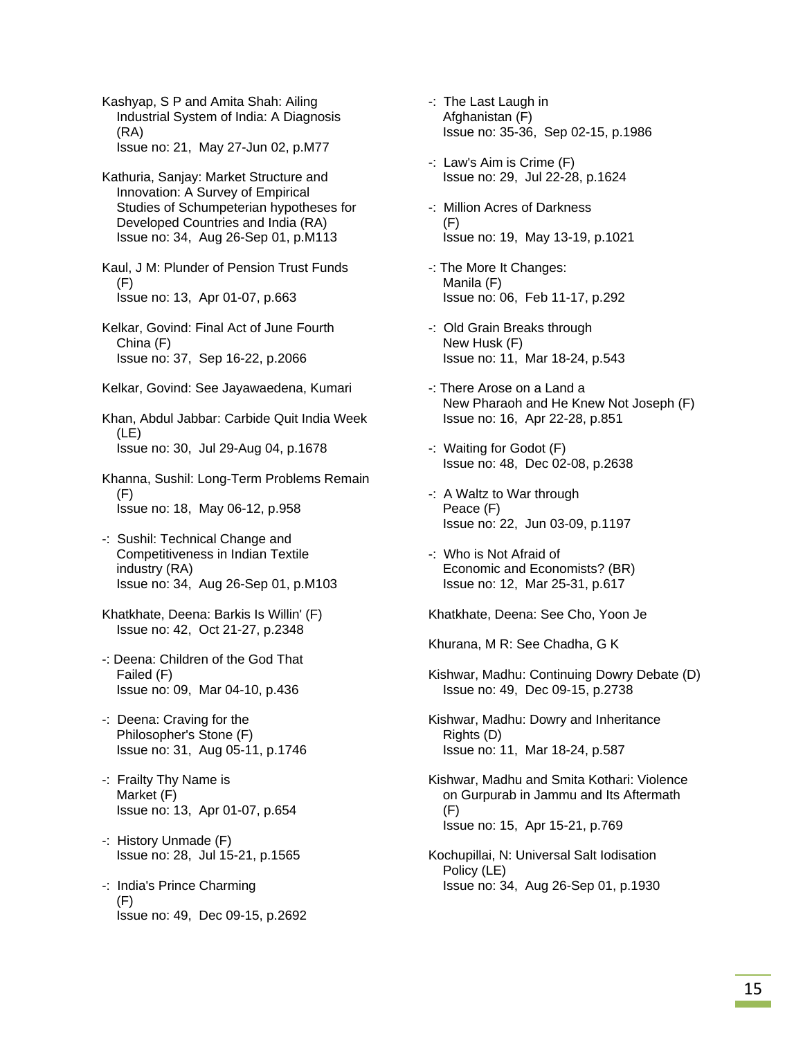Kashyap, S P and Amita Shah: Ailing Industrial System of India: A Diagnosis (RA) Issue no: 21, May 27-Jun 02, p.M77

 Kathuria, Sanjay: Market Structure and Innovation: A Survey of Empirical Studies of Schumpeterian hypotheses for Developed Countries and India (RA) Issue no: 34, Aug 26-Sep 01, p.M113

 Kaul, J M: Plunder of Pension Trust Funds (F) Issue no: 13, Apr 01-07, p.663

- Kelkar, Govind: Final Act of June Fourth China (F) Issue no: 37, Sep 16-22, p.2066
- Kelkar, Govind: See Jayawaedena, Kumari

 Khan, Abdul Jabbar: Carbide Quit India Week (LE) Issue no: 30, Jul 29-Aug 04, p.1678

- Khanna, Sushil: Long-Term Problems Remain (F) Issue no: 18, May 06-12, p.958
- -: Sushil: Technical Change and Competitiveness in Indian Textile industry (RA) Issue no: 34, Aug 26-Sep 01, p.M103
- Khatkhate, Deena: Barkis Is Willin' (F) Issue no: 42, Oct 21-27, p.2348
- -: Deena: Children of the God That Failed (F) Issue no: 09, Mar 04-10, p.436
- -: Deena: Craving for the Philosopher's Stone (F) Issue no: 31, Aug 05-11, p.1746
- -: Frailty Thy Name is Market (F) Issue no: 13, Apr 01-07, p.654
- -: History Unmade (F) Issue no: 28, Jul 15-21, p.1565
- -: India's Prince Charming (F) Issue no: 49, Dec 09-15, p.2692
- -: The Last Laugh in Afghanistan (F) Issue no: 35-36, Sep 02-15, p.1986
- -: Law's Aim is Crime (F) Issue no: 29, Jul 22-28, p.1624
- -: Million Acres of Darkness (F) Issue no: 19, May 13-19, p.1021
- -: The More It Changes: Manila (F) Issue no: 06, Feb 11-17, p.292
- -: Old Grain Breaks through New Husk (F) Issue no: 11, Mar 18-24, p.543
- -: There Arose on a Land a New Pharaoh and He Knew Not Joseph (F) Issue no: 16, Apr 22-28, p.851
- -: Waiting for Godot (F) Issue no: 48, Dec 02-08, p.2638
- -: A Waltz to War through Peace (F) Issue no: 22, Jun 03-09, p.1197
- -: Who is Not Afraid of Economic and Economists? (BR) Issue no: 12, Mar 25-31, p.617

Khatkhate, Deena: See Cho, Yoon Je

Khurana, M R: See Chadha, G K

- Kishwar, Madhu: Continuing Dowry Debate (D) Issue no: 49, Dec 09-15, p.2738
- Kishwar, Madhu: Dowry and Inheritance Rights (D) Issue no: 11, Mar 18-24, p.587
- Kishwar, Madhu and Smita Kothari: Violence on Gurpurab in Jammu and Its Aftermath (F) Issue no: 15, Apr 15-21, p.769
- Kochupillai, N: Universal Salt Iodisation Policy (LE) Issue no: 34, Aug 26-Sep 01, p.1930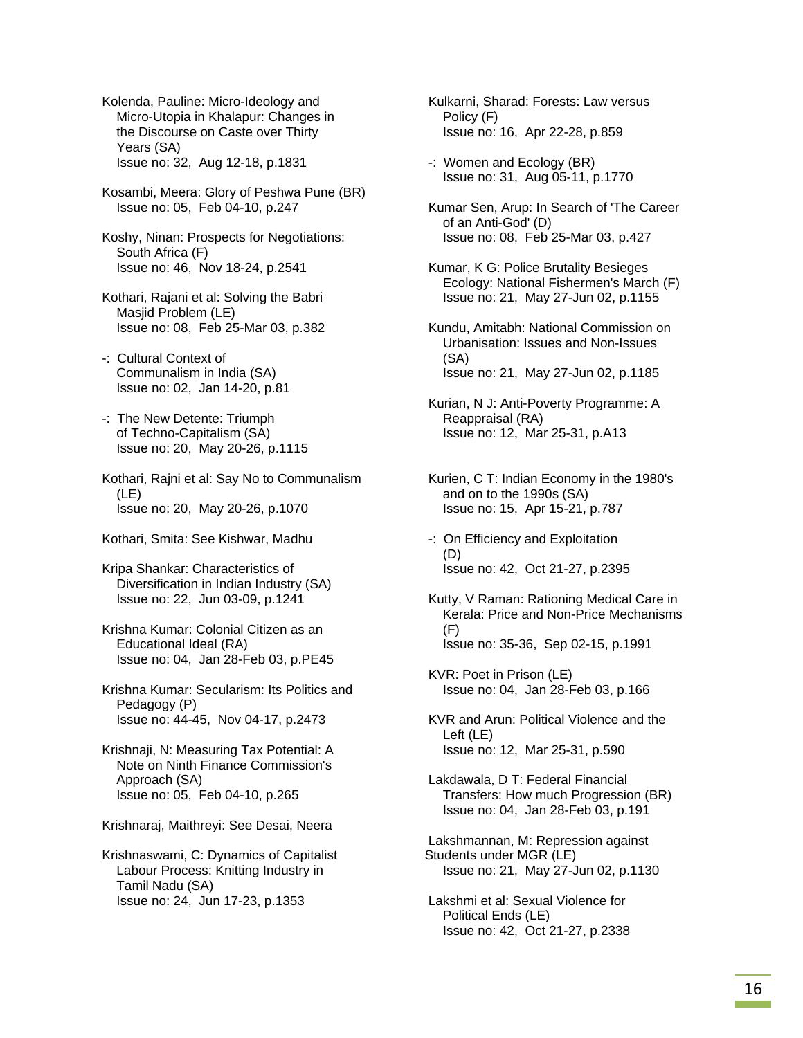Kolenda, Pauline: Micro-Ideology and Micro-Utopia in Khalapur: Changes in the Discourse on Caste over Thirty Years (SA) Issue no: 32, Aug 12-18, p.1831

 Kosambi, Meera: Glory of Peshwa Pune (BR) Issue no: 05, Feb 04-10, p.247

 Koshy, Ninan: Prospects for Negotiations: South Africa (F) Issue no: 46, Nov 18-24, p.2541

 Kothari, Rajani et al: Solving the Babri Masjid Problem (LE) Issue no: 08, Feb 25-Mar 03, p.382

 -: Cultural Context of Communalism in India (SA) Issue no: 02, Jan 14-20, p.81

 -: The New Detente: Triumph of Techno-Capitalism (SA) Issue no: 20, May 20-26, p.1115

 Kothari, Rajni et al: Say No to Communalism (LE) Issue no: 20, May 20-26, p.1070

Kothari, Smita: See Kishwar, Madhu

 Kripa Shankar: Characteristics of Diversification in Indian Industry (SA) Issue no: 22, Jun 03-09, p.1241

 Krishna Kumar: Colonial Citizen as an Educational Ideal (RA) Issue no: 04, Jan 28-Feb 03, p.PE45

 Krishna Kumar: Secularism: Its Politics and Pedagogy (P) Issue no: 44-45, Nov 04-17, p.2473

 Krishnaji, N: Measuring Tax Potential: A Note on Ninth Finance Commission's Approach (SA) Issue no: 05, Feb 04-10, p.265

Krishnaraj, Maithreyi: See Desai, Neera

 Krishnaswami, C: Dynamics of Capitalist Labour Process: Knitting Industry in Tamil Nadu (SA) Issue no: 24, Jun 17-23, p.1353

 Kulkarni, Sharad: Forests: Law versus Policy (F) Issue no: 16, Apr 22-28, p.859

 -: Women and Ecology (BR) Issue no: 31, Aug 05-11, p.1770

 Kumar Sen, Arup: In Search of 'The Career of an Anti-God' (D) Issue no: 08, Feb 25-Mar 03, p.427

 Kumar, K G: Police Brutality Besieges Ecology: National Fishermen's March (F) Issue no: 21, May 27-Jun 02, p.1155

 Kundu, Amitabh: National Commission on Urbanisation: Issues and Non-Issues (SA) Issue no: 21, May 27-Jun 02, p.1185

 Kurian, N J: Anti-Poverty Programme: A Reappraisal (RA) Issue no: 12, Mar 25-31, p.A13

 Kurien, C T: Indian Economy in the 1980's and on to the 1990s (SA) Issue no: 15, Apr 15-21, p.787

 -: On Efficiency and Exploitation (D) Issue no: 42, Oct 21-27, p.2395

 Kutty, V Raman: Rationing Medical Care in Kerala: Price and Non-Price Mechanisms (F) Issue no: 35-36, Sep 02-15, p.1991

 KVR: Poet in Prison (LE) Issue no: 04, Jan 28-Feb 03, p.166

 KVR and Arun: Political Violence and the Left (LE) Issue no: 12, Mar 25-31, p.590

 Lakdawala, D T: Federal Financial Transfers: How much Progression (BR) Issue no: 04, Jan 28-Feb 03, p.191

 Lakshmannan, M: Repression against Students under MGR (LE) Issue no: 21, May 27-Jun 02, p.1130

 Lakshmi et al: Sexual Violence for Political Ends (LE) Issue no: 42, Oct 21-27, p.2338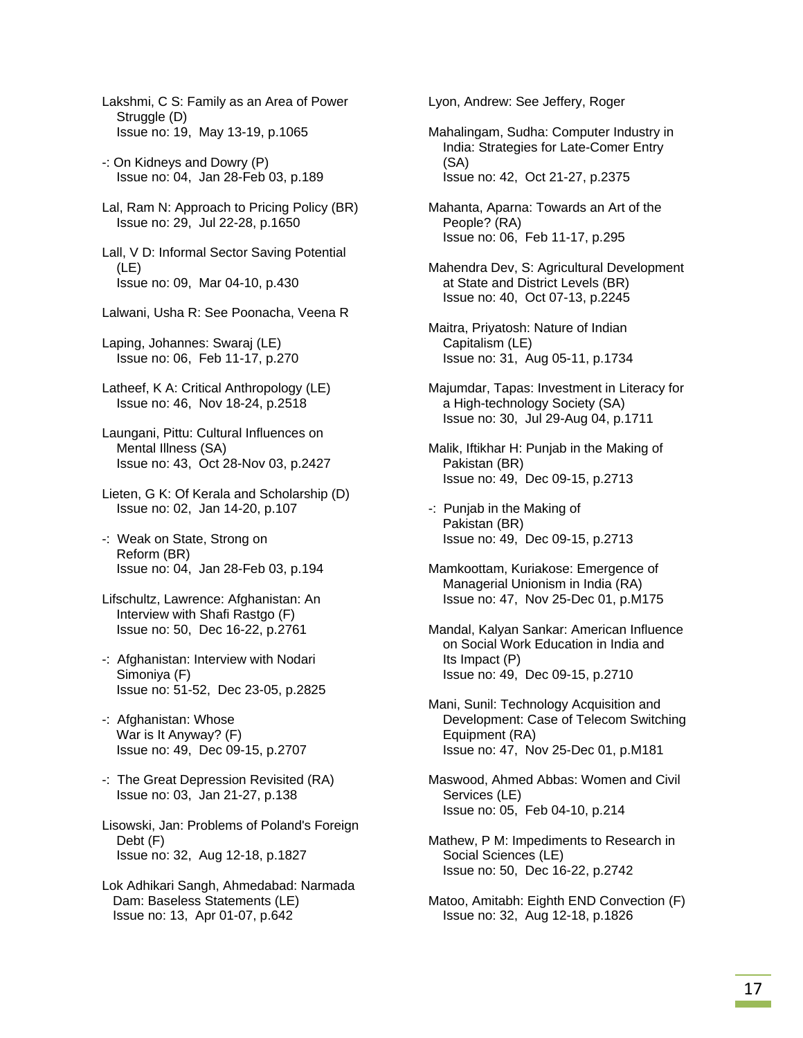Lakshmi, C S: Family as an Area of Power Struggle (D) Issue no: 19, May 13-19, p.1065

- -: On Kidneys and Dowry (P) Issue no: 04, Jan 28-Feb 03, p.189
- Lal, Ram N: Approach to Pricing Policy (BR) Issue no: 29, Jul 22-28, p.1650

 Lall, V D: Informal Sector Saving Potential (LE) Issue no: 09, Mar 04-10, p.430

- Lalwani, Usha R: See Poonacha, Veena R
- Laping, Johannes: Swaraj (LE) Issue no: 06, Feb 11-17, p.270
- Latheef, K A: Critical Anthropology (LE) Issue no: 46, Nov 18-24, p.2518
- Laungani, Pittu: Cultural Influences on Mental Illness (SA) Issue no: 43, Oct 28-Nov 03, p.2427
- Lieten, G K: Of Kerala and Scholarship (D) Issue no: 02, Jan 14-20, p.107
- -: Weak on State, Strong on Reform (BR) Issue no: 04, Jan 28-Feb 03, p.194
- Lifschultz, Lawrence: Afghanistan: An Interview with Shafi Rastgo (F) Issue no: 50, Dec 16-22, p.2761
- -: Afghanistan: Interview with Nodari Simoniya (F) Issue no: 51-52, Dec 23-05, p.2825
- -: Afghanistan: Whose War is It Anyway? (F) Issue no: 49, Dec 09-15, p.2707
- -: The Great Depression Revisited (RA) Issue no: 03, Jan 21-27, p.138
- Lisowski, Jan: Problems of Poland's Foreign Debt (F) Issue no: 32, Aug 12-18, p.1827
- Lok Adhikari Sangh, Ahmedabad: Narmada Dam: Baseless Statements (LE) Issue no: 13, Apr 01-07, p.642

Lyon, Andrew: See Jeffery, Roger

- Mahalingam, Sudha: Computer Industry in India: Strategies for Late-Comer Entry (SA) Issue no: 42, Oct 21-27, p.2375
- Mahanta, Aparna: Towards an Art of the People? (RA) Issue no: 06, Feb 11-17, p.295
- Mahendra Dev, S: Agricultural Development at State and District Levels (BR) Issue no: 40, Oct 07-13, p.2245
- Maitra, Priyatosh: Nature of Indian Capitalism (LE) Issue no: 31, Aug 05-11, p.1734
- Majumdar, Tapas: Investment in Literacy for a High-technology Society (SA) Issue no: 30, Jul 29-Aug 04, p.1711
- Malik, Iftikhar H: Punjab in the Making of Pakistan (BR) Issue no: 49, Dec 09-15, p.2713
- -: Punjab in the Making of Pakistan (BR) Issue no: 49, Dec 09-15, p.2713
- Mamkoottam, Kuriakose: Emergence of Managerial Unionism in India (RA) Issue no: 47, Nov 25-Dec 01, p.M175
- Mandal, Kalyan Sankar: American Influence on Social Work Education in India and Its Impact (P) Issue no: 49, Dec 09-15, p.2710
- Mani, Sunil: Technology Acquisition and Development: Case of Telecom Switching Equipment (RA) Issue no: 47, Nov 25-Dec 01, p.M181
- Maswood, Ahmed Abbas: Women and Civil Services (LE) Issue no: 05, Feb 04-10, p.214
- Mathew, P M: Impediments to Research in Social Sciences (LE) Issue no: 50, Dec 16-22, p.2742
- Matoo, Amitabh: Eighth END Convection (F) Issue no: 32, Aug 12-18, p.1826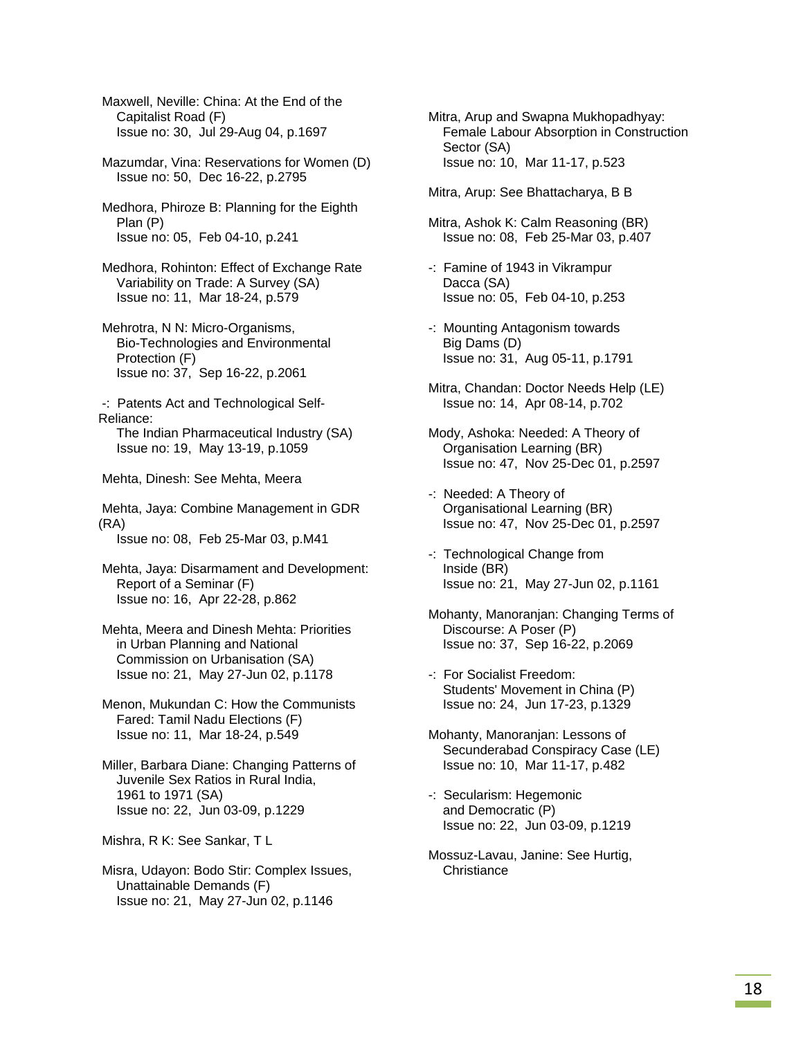Maxwell, Neville: China: At the End of the Capitalist Road (F) Issue no: 30, Jul 29-Aug 04, p.1697

 Mazumdar, Vina: Reservations for Women (D) Issue no: 50, Dec 16-22, p.2795

 Medhora, Phiroze B: Planning for the Eighth Plan (P) Issue no: 05, Feb 04-10, p.241

 Medhora, Rohinton: Effect of Exchange Rate Variability on Trade: A Survey (SA) Issue no: 11, Mar 18-24, p.579

 Mehrotra, N N: Micro-Organisms, Bio-Technologies and Environmental Protection (F) Issue no: 37, Sep 16-22, p.2061

 -: Patents Act and Technological Self-Reliance: The Indian Pharmaceutical Industry (SA)

Issue no: 19, May 13-19, p.1059

Mehta, Dinesh: See Mehta, Meera

 Mehta, Jaya: Combine Management in GDR (RA) Issue no: 08, Feb 25-Mar 03, p.M41

 Mehta, Jaya: Disarmament and Development: Report of a Seminar (F)

Issue no: 16, Apr 22-28, p.862

 Mehta, Meera and Dinesh Mehta: Priorities in Urban Planning and National Commission on Urbanisation (SA) Issue no: 21, May 27-Jun 02, p.1178

 Menon, Mukundan C: How the Communists Fared: Tamil Nadu Elections (F) Issue no: 11, Mar 18-24, p.549

 Miller, Barbara Diane: Changing Patterns of Juvenile Sex Ratios in Rural India, 1961 to 1971 (SA) Issue no: 22, Jun 03-09, p.1229

Mishra, R K: See Sankar, T L

 Misra, Udayon: Bodo Stir: Complex Issues, Unattainable Demands (F) Issue no: 21, May 27-Jun 02, p.1146

 Mitra, Arup and Swapna Mukhopadhyay: Female Labour Absorption in Construction Sector (SA) Issue no: 10, Mar 11-17, p.523

Mitra, Arup: See Bhattacharya, B B

 Mitra, Ashok K: Calm Reasoning (BR) Issue no: 08, Feb 25-Mar 03, p.407

- -: Famine of 1943 in Vikrampur Dacca (SA) Issue no: 05, Feb 04-10, p.253
- -: Mounting Antagonism towards Big Dams (D) Issue no: 31, Aug 05-11, p.1791
- Mitra, Chandan: Doctor Needs Help (LE) Issue no: 14, Apr 08-14, p.702
- Mody, Ashoka: Needed: A Theory of Organisation Learning (BR) Issue no: 47, Nov 25-Dec 01, p.2597
- -: Needed: A Theory of Organisational Learning (BR) Issue no: 47, Nov 25-Dec 01, p.2597
- -: Technological Change from Inside (BR) Issue no: 21, May 27-Jun 02, p.1161
- Mohanty, Manoranjan: Changing Terms of Discourse: A Poser (P) Issue no: 37, Sep 16-22, p.2069
- -: For Socialist Freedom: Students' Movement in China (P) Issue no: 24, Jun 17-23, p.1329
- Mohanty, Manoranjan: Lessons of Secunderabad Conspiracy Case (LE) Issue no: 10, Mar 11-17, p.482
- -: Secularism: Hegemonic and Democratic (P) Issue no: 22, Jun 03-09, p.1219
- Mossuz-Lavau, Janine: See Hurtig, **Christiance**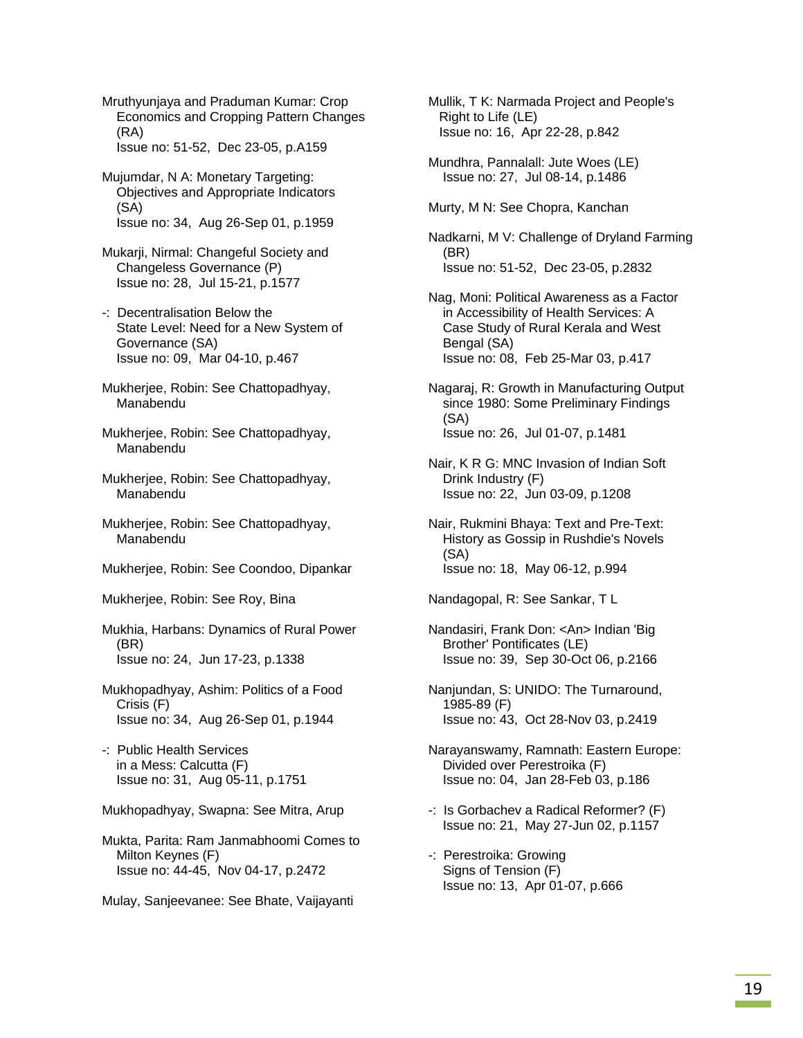Mruthyunjaya and Praduman Kumar: Crop Economics and Cropping Pattern Changes (RA) Issue no: 51-52, Dec 23-05, p.A159

 Mujumdar, N A: Monetary Targeting: Objectives and Appropriate Indicators (SA) Issue no: 34, Aug 26-Sep 01, p.1959

 Mukarji, Nirmal: Changeful Society and Changeless Governance (P) Issue no: 28, Jul 15-21, p.1577

- -: Decentralisation Below the State Level: Need for a New System of Governance (SA) Issue no: 09, Mar 04-10, p.467
- Mukherjee, Robin: See Chattopadhyay, Manabendu
- Mukherjee, Robin: See Chattopadhyay, Manabendu
- Mukherjee, Robin: See Chattopadhyay, Manabendu
- Mukherjee, Robin: See Chattopadhyay, Manabendu
- Mukherjee, Robin: See Coondoo, Dipankar

Mukherjee, Robin: See Roy, Bina

- Mukhia, Harbans: Dynamics of Rural Power (BR) Issue no: 24, Jun 17-23, p.1338
- Mukhopadhyay, Ashim: Politics of a Food Crisis (F) Issue no: 34, Aug 26-Sep 01, p.1944
- -: Public Health Services in a Mess: Calcutta (F) Issue no: 31, Aug 05-11, p.1751

Mukhopadhyay, Swapna: See Mitra, Arup

 Mukta, Parita: Ram Janmabhoomi Comes to Milton Keynes (F) Issue no: 44-45, Nov 04-17, p.2472

Mulay, Sanjeevanee: See Bhate, Vaijayanti

 Mullik, T K: Narmada Project and People's Right to Life (LE) Issue no: 16, Apr 22-28, p.842

 Mundhra, Pannalall: Jute Woes (LE) Issue no: 27, Jul 08-14, p.1486

Murty, M N: See Chopra, Kanchan

 Nadkarni, M V: Challenge of Dryland Farming (BR) Issue no: 51-52, Dec 23-05, p.2832

 Nag, Moni: Political Awareness as a Factor in Accessibility of Health Services: A Case Study of Rural Kerala and West Bengal (SA) Issue no: 08, Feb 25-Mar 03, p.417

 Nagaraj, R: Growth in Manufacturing Output since 1980: Some Preliminary Findings (SA) Issue no: 26, Jul 01-07, p.1481

- Nair, K R G: MNC Invasion of Indian Soft Drink Industry (F) Issue no: 22, Jun 03-09, p.1208
- Nair, Rukmini Bhaya: Text and Pre-Text: History as Gossip in Rushdie's Novels (SA) Issue no: 18, May 06-12, p.994

Nandagopal, R: See Sankar, T L

- Nandasiri, Frank Don: <An> Indian 'Big Brother' Pontificates (LE) Issue no: 39, Sep 30-Oct 06, p.2166
- Nanjundan, S: UNIDO: The Turnaround, 1985-89 (F) Issue no: 43, Oct 28-Nov 03, p.2419
- Narayanswamy, Ramnath: Eastern Europe: Divided over Perestroika (F) Issue no: 04, Jan 28-Feb 03, p.186
- -: Is Gorbachev a Radical Reformer? (F) Issue no: 21, May 27-Jun 02, p.1157
- -: Perestroika: Growing Signs of Tension (F) Issue no: 13, Apr 01-07, p.666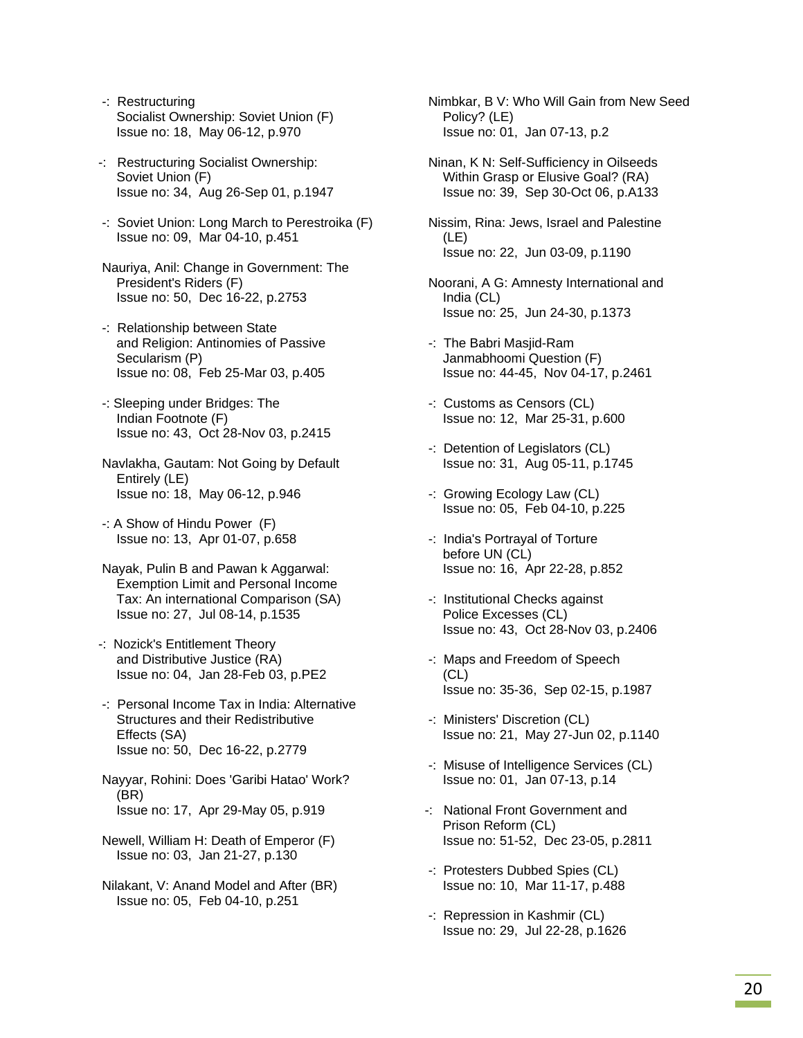- -: Restructuring Socialist Ownership: Soviet Union (F) Issue no: 18, May 06-12, p.970
- -: Restructuring Socialist Ownership: Soviet Union (F) Issue no: 34, Aug 26-Sep 01, p.1947
- -: Soviet Union: Long March to Perestroika (F) Issue no: 09, Mar 04-10, p.451
- Nauriya, Anil: Change in Government: The President's Riders (F) Issue no: 50, Dec 16-22, p.2753
- -: Relationship between State and Religion: Antinomies of Passive Secularism (P) Issue no: 08, Feb 25-Mar 03, p.405
- -: Sleeping under Bridges: The Indian Footnote (F) Issue no: 43, Oct 28-Nov 03, p.2415
- Navlakha, Gautam: Not Going by Default Entirely (LE) Issue no: 18, May 06-12, p.946
- -: A Show of Hindu Power (F) Issue no: 13, Apr 01-07, p.658
- Nayak, Pulin B and Pawan k Aggarwal: Exemption Limit and Personal Income Tax: An international Comparison (SA) Issue no: 27, Jul 08-14, p.1535
- -: Nozick's Entitlement Theory and Distributive Justice (RA) Issue no: 04, Jan 28-Feb 03, p.PE2
- -: Personal Income Tax in India: Alternative Structures and their Redistributive Effects (SA) Issue no: 50, Dec 16-22, p.2779
- Nayyar, Rohini: Does 'Garibi Hatao' Work? (BR) Issue no: 17, Apr 29-May 05, p.919
- Newell, William H: Death of Emperor (F) Issue no: 03, Jan 21-27, p.130
- Nilakant, V: Anand Model and After (BR) Issue no: 05, Feb 04-10, p.251
- Nimbkar, B V: Who Will Gain from New Seed Policy? (LE) Issue no: 01, Jan 07-13, p.2
- Ninan, K N: Self-Sufficiency in Oilseeds Within Grasp or Elusive Goal? (RA) Issue no: 39, Sep 30-Oct 06, p.A133
- Nissim, Rina: Jews, Israel and Palestine (LE) Issue no: 22, Jun 03-09, p.1190
- Noorani, A G: Amnesty International and India (CL) Issue no: 25, Jun 24-30, p.1373
- -: The Babri Masjid-Ram Janmabhoomi Question (F) Issue no: 44-45, Nov 04-17, p.2461
- -: Customs as Censors (CL) Issue no: 12, Mar 25-31, p.600
- -: Detention of Legislators (CL) Issue no: 31, Aug 05-11, p.1745
- -: Growing Ecology Law (CL) Issue no: 05, Feb 04-10, p.225
- -: India's Portrayal of Torture before UN (CL) Issue no: 16, Apr 22-28, p.852
- -: Institutional Checks against Police Excesses (CL) Issue no: 43, Oct 28-Nov 03, p.2406
- -: Maps and Freedom of Speech (CL) Issue no: 35-36, Sep 02-15, p.1987
- -: Ministers' Discretion (CL) Issue no: 21, May 27-Jun 02, p.1140
- -: Misuse of Intelligence Services (CL) Issue no: 01, Jan 07-13, p.14
- -: National Front Government and Prison Reform (CL) Issue no: 51-52, Dec 23-05, p.2811
- -: Protesters Dubbed Spies (CL) Issue no: 10, Mar 11-17, p.488
- -: Repression in Kashmir (CL) Issue no: 29, Jul 22-28, p.1626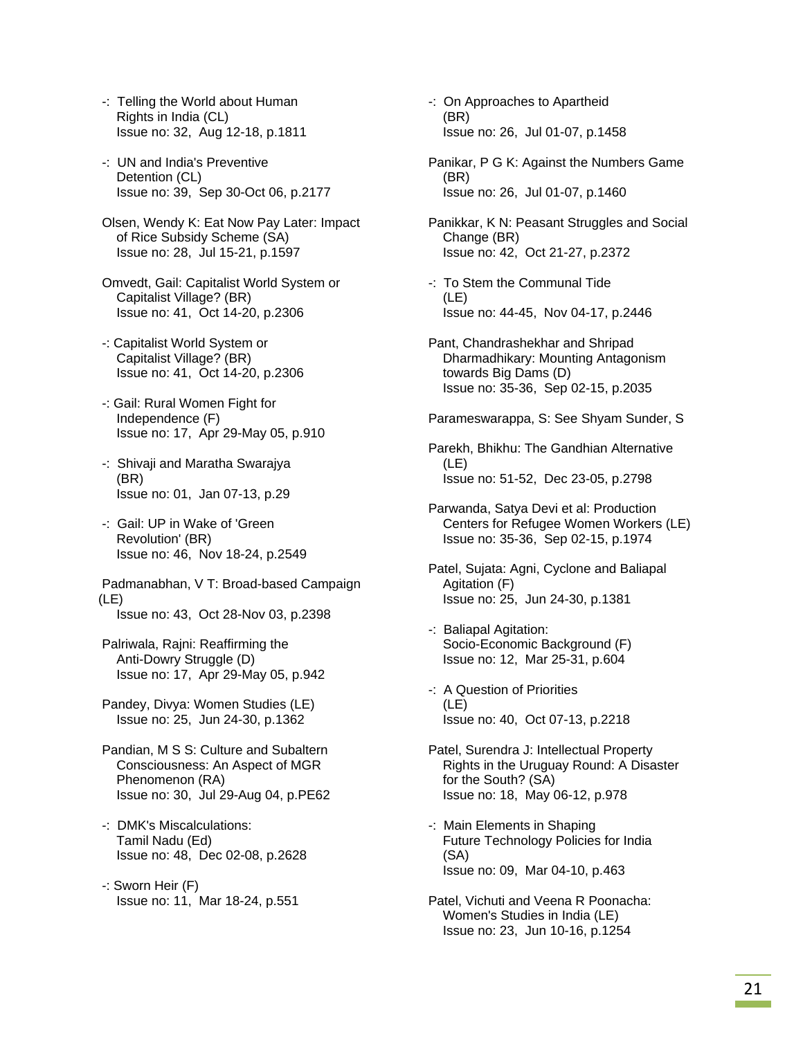- -: Telling the World about Human Rights in India (CL) Issue no: 32, Aug 12-18, p.1811
- -: UN and India's Preventive Detention (CL) Issue no: 39, Sep 30-Oct 06, p.2177
- Olsen, Wendy K: Eat Now Pay Later: Impact of Rice Subsidy Scheme (SA) Issue no: 28, Jul 15-21, p.1597
- Omvedt, Gail: Capitalist World System or Capitalist Village? (BR) Issue no: 41, Oct 14-20, p.2306
- -: Capitalist World System or Capitalist Village? (BR) Issue no: 41, Oct 14-20, p.2306
- -: Gail: Rural Women Fight for Independence (F) Issue no: 17, Apr 29-May 05, p.910
- -: Shivaji and Maratha Swarajya (BR) Issue no: 01, Jan 07-13, p.29
- -: Gail: UP in Wake of 'Green Revolution' (BR) Issue no: 46, Nov 18-24, p.2549
- Padmanabhan, V T: Broad-based Campaign (LE) Issue no: 43, Oct 28-Nov 03, p.2398
- Palriwala, Rajni: Reaffirming the Anti-Dowry Struggle (D) Issue no: 17, Apr 29-May 05, p.942
- Pandey, Divya: Women Studies (LE) Issue no: 25, Jun 24-30, p.1362
- Pandian, M S S: Culture and Subaltern Consciousness: An Aspect of MGR Phenomenon (RA) Issue no: 30, Jul 29-Aug 04, p.PE62
- -: DMK's Miscalculations: Tamil Nadu (Ed) Issue no: 48, Dec 02-08, p.2628
- -: Sworn Heir (F) Issue no: 11, Mar 18-24, p.551
- -: On Approaches to Apartheid (BR) Issue no: 26, Jul 01-07, p.1458
- Panikar, P G K: Against the Numbers Game (BR) Issue no: 26, Jul 01-07, p.1460
- Panikkar, K N: Peasant Struggles and Social Change (BR) Issue no: 42, Oct 21-27, p.2372
- -: To Stem the Communal Tide (LE) Issue no: 44-45, Nov 04-17, p.2446
- Pant, Chandrashekhar and Shripad Dharmadhikary: Mounting Antagonism towards Big Dams (D) Issue no: 35-36, Sep 02-15, p.2035
- Parameswarappa, S: See Shyam Sunder, S
- Parekh, Bhikhu: The Gandhian Alternative (LE) Issue no: 51-52, Dec 23-05, p.2798
- Parwanda, Satya Devi et al: Production Centers for Refugee Women Workers (LE) Issue no: 35-36, Sep 02-15, p.1974
- Patel, Sujata: Agni, Cyclone and Baliapal Agitation (F) Issue no: 25, Jun 24-30, p.1381
- -: Baliapal Agitation: Socio-Economic Background (F) Issue no: 12, Mar 25-31, p.604
- -: A Question of Priorities (LE) Issue no: 40, Oct 07-13, p.2218
- Patel, Surendra J: Intellectual Property Rights in the Uruguay Round: A Disaster for the South? (SA) Issue no: 18, May 06-12, p.978
- -: Main Elements in Shaping Future Technology Policies for India (SA) Issue no: 09, Mar 04-10, p.463
- Patel, Vichuti and Veena R Poonacha: Women's Studies in India (LE) Issue no: 23, Jun 10-16, p.1254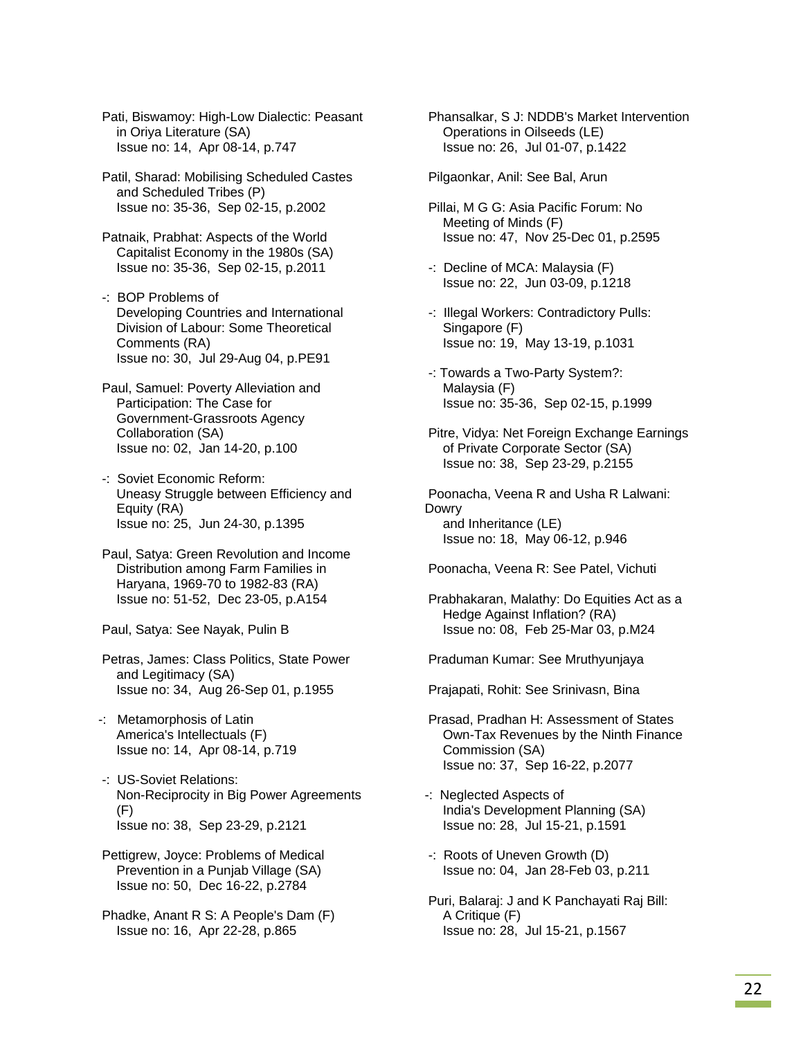Pati, Biswamoy: High-Low Dialectic: Peasant in Oriya Literature (SA) Issue no: 14, Apr 08-14, p.747

 Patil, Sharad: Mobilising Scheduled Castes and Scheduled Tribes (P) Issue no: 35-36, Sep 02-15, p.2002

 Patnaik, Prabhat: Aspects of the World Capitalist Economy in the 1980s (SA) Issue no: 35-36, Sep 02-15, p.2011

 -: BOP Problems of Developing Countries and International Division of Labour: Some Theoretical Comments (RA) Issue no: 30, Jul 29-Aug 04, p.PE91

 Paul, Samuel: Poverty Alleviation and Participation: The Case for Government-Grassroots Agency Collaboration (SA) Issue no: 02, Jan 14-20, p.100

 -: Soviet Economic Reform: Uneasy Struggle between Efficiency and Equity (RA) Issue no: 25, Jun 24-30, p.1395

 Paul, Satya: Green Revolution and Income Distribution among Farm Families in Haryana, 1969-70 to 1982-83 (RA) Issue no: 51-52, Dec 23-05, p.A154

Paul, Satya: See Nayak, Pulin B

 Petras, James: Class Politics, State Power and Legitimacy (SA) Issue no: 34, Aug 26-Sep 01, p.1955

-: Metamorphosis of Latin America's Intellectuals (F) Issue no: 14, Apr 08-14, p.719

 -: US-Soviet Relations: Non-Reciprocity in Big Power Agreements (F) Issue no: 38, Sep 23-29, p.2121

 Pettigrew, Joyce: Problems of Medical Prevention in a Punjab Village (SA) Issue no: 50, Dec 16-22, p.2784

 Phadke, Anant R S: A People's Dam (F) Issue no: 16, Apr 22-28, p.865

 Phansalkar, S J: NDDB's Market Intervention Operations in Oilseeds (LE) Issue no: 26, Jul 01-07, p.1422

Pilgaonkar, Anil: See Bal, Arun

 Pillai, M G G: Asia Pacific Forum: No Meeting of Minds (F) Issue no: 47, Nov 25-Dec 01, p.2595

 -: Decline of MCA: Malaysia (F) Issue no: 22, Jun 03-09, p.1218

 -: Illegal Workers: Contradictory Pulls: Singapore (F) Issue no: 19, May 13-19, p.1031

 -: Towards a Two-Party System?: Malaysia (F) Issue no: 35-36, Sep 02-15, p.1999

 Pitre, Vidya: Net Foreign Exchange Earnings of Private Corporate Sector (SA) Issue no: 38, Sep 23-29, p.2155

 Poonacha, Veena R and Usha R Lalwani: Dowry and Inheritance (LE) Issue no: 18, May 06-12, p.946

Poonacha, Veena R: See Patel, Vichuti

 Prabhakaran, Malathy: Do Equities Act as a Hedge Against Inflation? (RA) Issue no: 08, Feb 25-Mar 03, p.M24

Praduman Kumar: See Mruthyunjaya

Prajapati, Rohit: See Srinivasn, Bina

 Prasad, Pradhan H: Assessment of States Own-Tax Revenues by the Ninth Finance Commission (SA) Issue no: 37, Sep 16-22, p.2077

-: Neglected Aspects of India's Development Planning (SA) Issue no: 28, Jul 15-21, p.1591

 -: Roots of Uneven Growth (D) Issue no: 04, Jan 28-Feb 03, p.211

 Puri, Balaraj: J and K Panchayati Raj Bill: A Critique (F) Issue no: 28, Jul 15-21, p.1567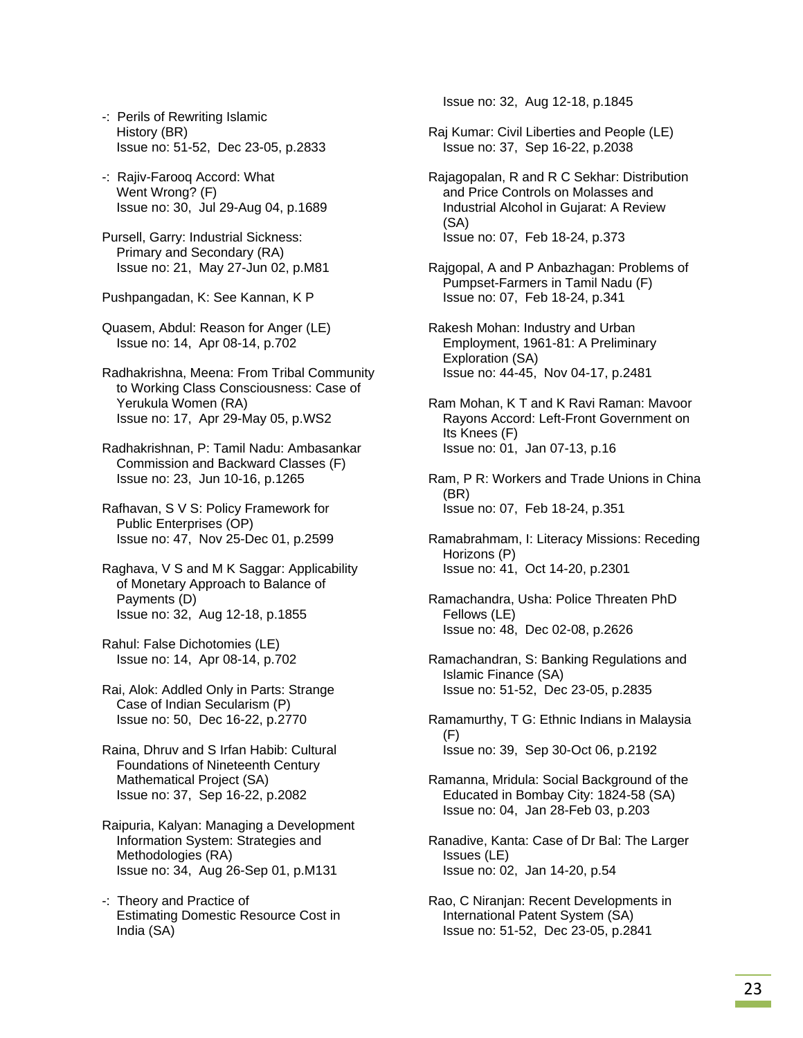- -: Perils of Rewriting Islamic History (BR) Issue no: 51-52, Dec 23-05, p.2833
- -: Rajiv-Farooq Accord: What Went Wrong? (F) Issue no: 30, Jul 29-Aug 04, p.1689
- Pursell, Garry: Industrial Sickness: Primary and Secondary (RA) Issue no: 21, May 27-Jun 02, p.M81
- Pushpangadan, K: See Kannan, K P
- Quasem, Abdul: Reason for Anger (LE) Issue no: 14, Apr 08-14, p.702
- Radhakrishna, Meena: From Tribal Community to Working Class Consciousness: Case of Yerukula Women (RA) Issue no: 17, Apr 29-May 05, p.WS2
- Radhakrishnan, P: Tamil Nadu: Ambasankar Commission and Backward Classes (F) Issue no: 23, Jun 10-16, p.1265
- Rafhavan, S V S: Policy Framework for Public Enterprises (OP) Issue no: 47, Nov 25-Dec 01, p.2599
- Raghava, V S and M K Saggar: Applicability of Monetary Approach to Balance of Payments (D) Issue no: 32, Aug 12-18, p.1855
- Rahul: False Dichotomies (LE) Issue no: 14, Apr 08-14, p.702
- Rai, Alok: Addled Only in Parts: Strange Case of Indian Secularism (P) Issue no: 50, Dec 16-22, p.2770
- Raina, Dhruv and S Irfan Habib: Cultural Foundations of Nineteenth Century Mathematical Project (SA) Issue no: 37, Sep 16-22, p.2082
- Raipuria, Kalyan: Managing a Development Information System: Strategies and Methodologies (RA) Issue no: 34, Aug 26-Sep 01, p.M131
- -: Theory and Practice of Estimating Domestic Resource Cost in India (SA)

Issue no: 32, Aug 12-18, p.1845

- Raj Kumar: Civil Liberties and People (LE) Issue no: 37, Sep 16-22, p.2038
- Rajagopalan, R and R C Sekhar: Distribution and Price Controls on Molasses and Industrial Alcohol in Gujarat: A Review (SA) Issue no: 07, Feb 18-24, p.373
- Rajgopal, A and P Anbazhagan: Problems of Pumpset-Farmers in Tamil Nadu (F) Issue no: 07, Feb 18-24, p.341
- Rakesh Mohan: Industry and Urban Employment, 1961-81: A Preliminary Exploration (SA) Issue no: 44-45, Nov 04-17, p.2481

 Ram Mohan, K T and K Ravi Raman: Mavoor Rayons Accord: Left-Front Government on Its Knees (F) Issue no: 01, Jan 07-13, p.16

- Ram, P R: Workers and Trade Unions in China (BR) Issue no: 07, Feb 18-24, p.351
- Ramabrahmam, I: Literacy Missions: Receding Horizons (P) Issue no: 41, Oct 14-20, p.2301
- Ramachandra, Usha: Police Threaten PhD Fellows (LE) Issue no: 48, Dec 02-08, p.2626
- Ramachandran, S: Banking Regulations and Islamic Finance (SA) Issue no: 51-52, Dec 23-05, p.2835
- Ramamurthy, T G: Ethnic Indians in Malaysia (F) Issue no: 39, Sep 30-Oct 06, p.2192
- Ramanna, Mridula: Social Background of the Educated in Bombay City: 1824-58 (SA) Issue no: 04, Jan 28-Feb 03, p.203
- Ranadive, Kanta: Case of Dr Bal: The Larger Issues (LE) Issue no: 02, Jan 14-20, p.54
- Rao, C Niranjan: Recent Developments in International Patent System (SA) Issue no: 51-52, Dec 23-05, p.2841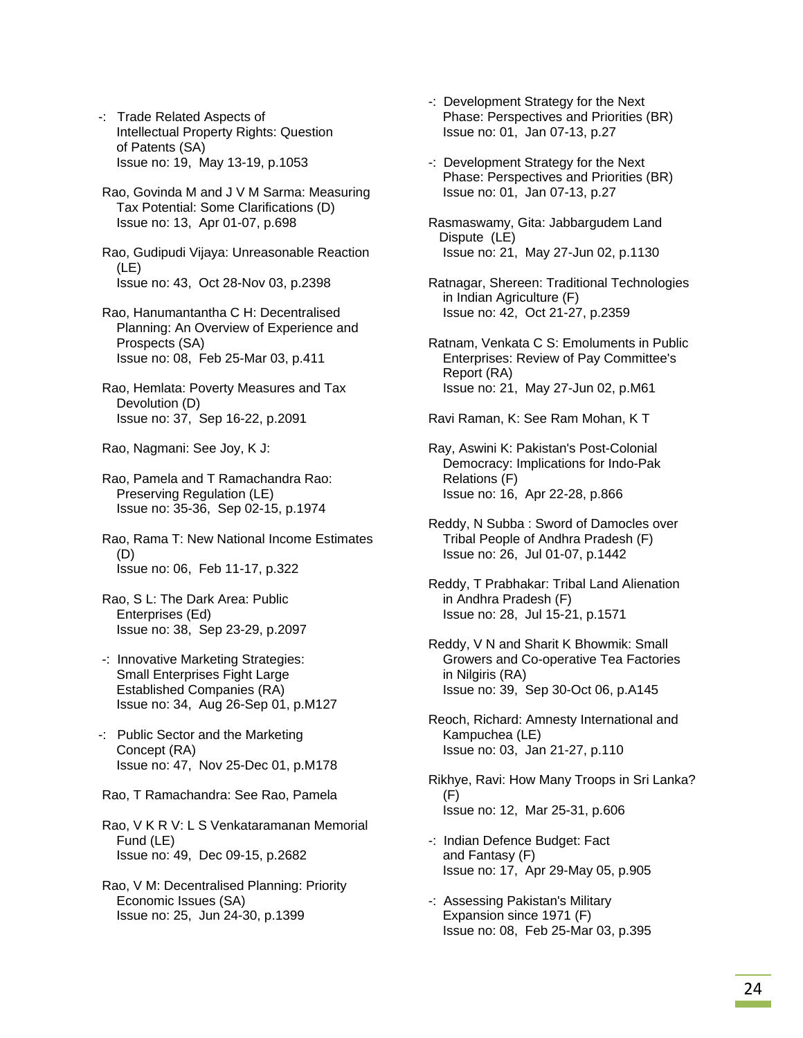- -: Trade Related Aspects of Intellectual Property Rights: Question of Patents (SA) Issue no: 19, May 13-19, p.1053
- Rao, Govinda M and J V M Sarma: Measuring Tax Potential: Some Clarifications (D) Issue no: 13, Apr 01-07, p.698

 Rao, Gudipudi Vijaya: Unreasonable Reaction (LE) Issue no: 43, Oct 28-Nov 03, p.2398

- Rao, Hanumantantha C H: Decentralised Planning: An Overview of Experience and Prospects (SA) Issue no: 08, Feb 25-Mar 03, p.411
- Rao, Hemlata: Poverty Measures and Tax Devolution (D) Issue no: 37, Sep 16-22, p.2091

Rao, Nagmani: See Joy, K J:

- Rao, Pamela and T Ramachandra Rao: Preserving Regulation (LE) Issue no: 35-36, Sep 02-15, p.1974
- Rao, Rama T: New National Income Estimates (D) Issue no: 06, Feb 11-17, p.322
- Rao, S L: The Dark Area: Public Enterprises (Ed) Issue no: 38, Sep 23-29, p.2097
- -: Innovative Marketing Strategies: Small Enterprises Fight Large Established Companies (RA) Issue no: 34, Aug 26-Sep 01, p.M127
- -: Public Sector and the Marketing Concept (RA) Issue no: 47, Nov 25-Dec 01, p.M178
- Rao, T Ramachandra: See Rao, Pamela
- Rao, V K R V: L S Venkataramanan Memorial Fund (LE) Issue no: 49, Dec 09-15, p.2682
- Rao, V M: Decentralised Planning: Priority Economic Issues (SA) Issue no: 25, Jun 24-30, p.1399
- -: Development Strategy for the Next Phase: Perspectives and Priorities (BR) Issue no: 01, Jan 07-13, p.27
- -: Development Strategy for the Next Phase: Perspectives and Priorities (BR) Issue no: 01, Jan 07-13, p.27
- Rasmaswamy, Gita: Jabbargudem Land Dispute (LE) Issue no: 21, May 27-Jun 02, p.1130
- Ratnagar, Shereen: Traditional Technologies in Indian Agriculture (F) Issue no: 42, Oct 21-27, p.2359
- Ratnam, Venkata C S: Emoluments in Public Enterprises: Review of Pay Committee's Report (RA) Issue no: 21, May 27-Jun 02, p.M61
- Ravi Raman, K: See Ram Mohan, K T
- Ray, Aswini K: Pakistan's Post-Colonial Democracy: Implications for Indo-Pak Relations (F) Issue no: 16, Apr 22-28, p.866
- Reddy, N Subba : Sword of Damocles over Tribal People of Andhra Pradesh (F) Issue no: 26, Jul 01-07, p.1442
- Reddy, T Prabhakar: Tribal Land Alienation in Andhra Pradesh (F) Issue no: 28, Jul 15-21, p.1571
- Reddy, V N and Sharit K Bhowmik: Small Growers and Co-operative Tea Factories in Nilgiris (RA) Issue no: 39, Sep 30-Oct 06, p.A145
- Reoch, Richard: Amnesty International and Kampuchea (LE) Issue no: 03, Jan 21-27, p.110
- Rikhye, Ravi: How Many Troops in Sri Lanka? (F) Issue no: 12, Mar 25-31, p.606
- -: Indian Defence Budget: Fact and Fantasy (F) Issue no: 17, Apr 29-May 05, p.905
- -: Assessing Pakistan's Military Expansion since 1971 (F) Issue no: 08, Feb 25-Mar 03, p.395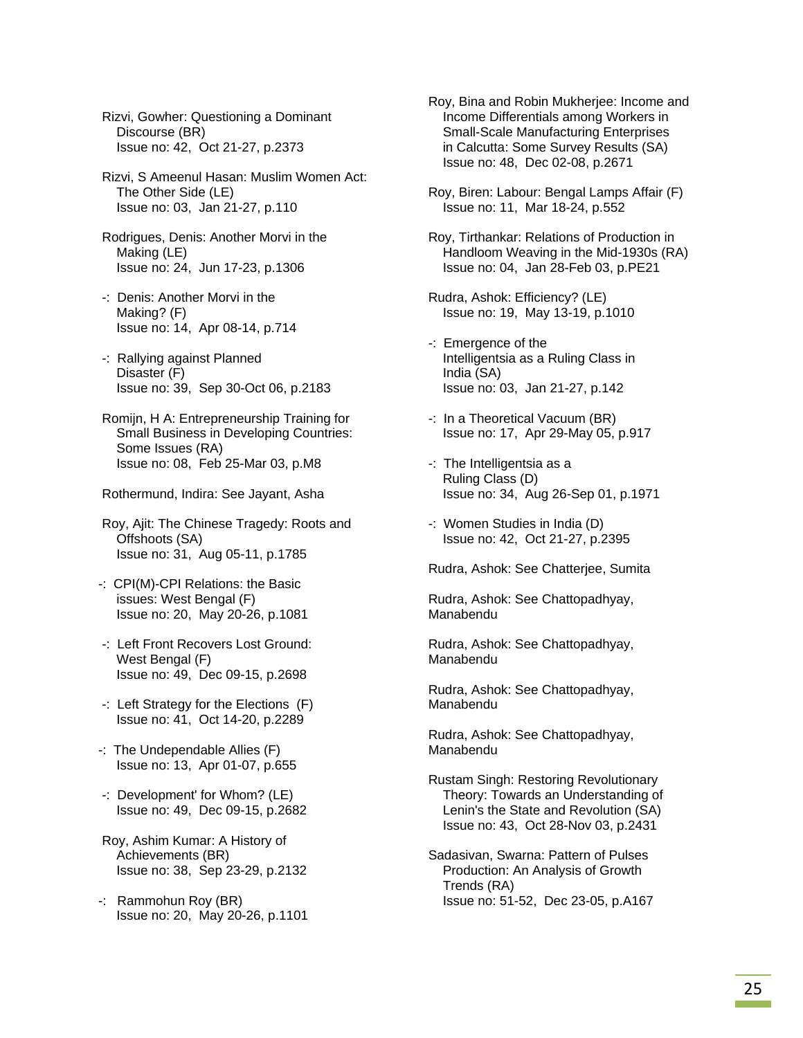Rizvi, Gowher: Questioning a Dominant Discourse (BR) Issue no: 42, Oct 21-27, p.2373

 Rizvi, S Ameenul Hasan: Muslim Women Act: The Other Side (LE) Issue no: 03, Jan 21-27, p.110

- Rodrigues, Denis: Another Morvi in the Making (LE) Issue no: 24, Jun 17-23, p.1306
- -: Denis: Another Morvi in the Making? (F) Issue no: 14, Apr 08-14, p.714
- -: Rallying against Planned Disaster (F) Issue no: 39, Sep 30-Oct 06, p.2183
- Romijn, H A: Entrepreneurship Training for Small Business in Developing Countries: Some Issues (RA) Issue no: 08, Feb 25-Mar 03, p.M8

Rothermund, Indira: See Jayant, Asha

 Roy, Ajit: The Chinese Tragedy: Roots and Offshoots (SA) Issue no: 31, Aug 05-11, p.1785

- -: CPI(M)-CPI Relations: the Basic issues: West Bengal (F) Issue no: 20, May 20-26, p.1081
- -: Left Front Recovers Lost Ground: West Bengal (F) Issue no: 49, Dec 09-15, p.2698
- -: Left Strategy for the Elections (F) Issue no: 41, Oct 14-20, p.2289
- -: The Undependable Allies (F) Issue no: 13, Apr 01-07, p.655
- -: Development' for Whom? (LE) Issue no: 49, Dec 09-15, p.2682
- Roy, Ashim Kumar: A History of Achievements (BR) Issue no: 38, Sep 23-29, p.2132
- -: Rammohun Roy (BR) Issue no: 20, May 20-26, p.1101

 Roy, Bina and Robin Mukherjee: Income and Income Differentials among Workers in Small-Scale Manufacturing Enterprises in Calcutta: Some Survey Results (SA) Issue no: 48, Dec 02-08, p.2671

- Roy, Biren: Labour: Bengal Lamps Affair (F) Issue no: 11, Mar 18-24, p.552
- Roy, Tirthankar: Relations of Production in Handloom Weaving in the Mid-1930s (RA) Issue no: 04, Jan 28-Feb 03, p.PE21
- Rudra, Ashok: Efficiency? (LE) Issue no: 19, May 13-19, p.1010
- -: Emergence of the Intelligentsia as a Ruling Class in India (SA) Issue no: 03, Jan 21-27, p.142
- -: In a Theoretical Vacuum (BR) Issue no: 17, Apr 29-May 05, p.917
- -: The Intelligentsia as a Ruling Class (D) Issue no: 34, Aug 26-Sep 01, p.1971
- -: Women Studies in India (D) Issue no: 42, Oct 21-27, p.2395

Rudra, Ashok: See Chatterjee, Sumita

 Rudra, Ashok: See Chattopadhyay, Manabendu

 Rudra, Ashok: See Chattopadhyay, Manabendu

 Rudra, Ashok: See Chattopadhyay, Manabendu

 Rudra, Ashok: See Chattopadhyay, Manabendu

 Rustam Singh: Restoring Revolutionary Theory: Towards an Understanding of Lenin's the State and Revolution (SA) Issue no: 43, Oct 28-Nov 03, p.2431

 Sadasivan, Swarna: Pattern of Pulses Production: An Analysis of Growth Trends (RA) Issue no: 51-52, Dec 23-05, p.A167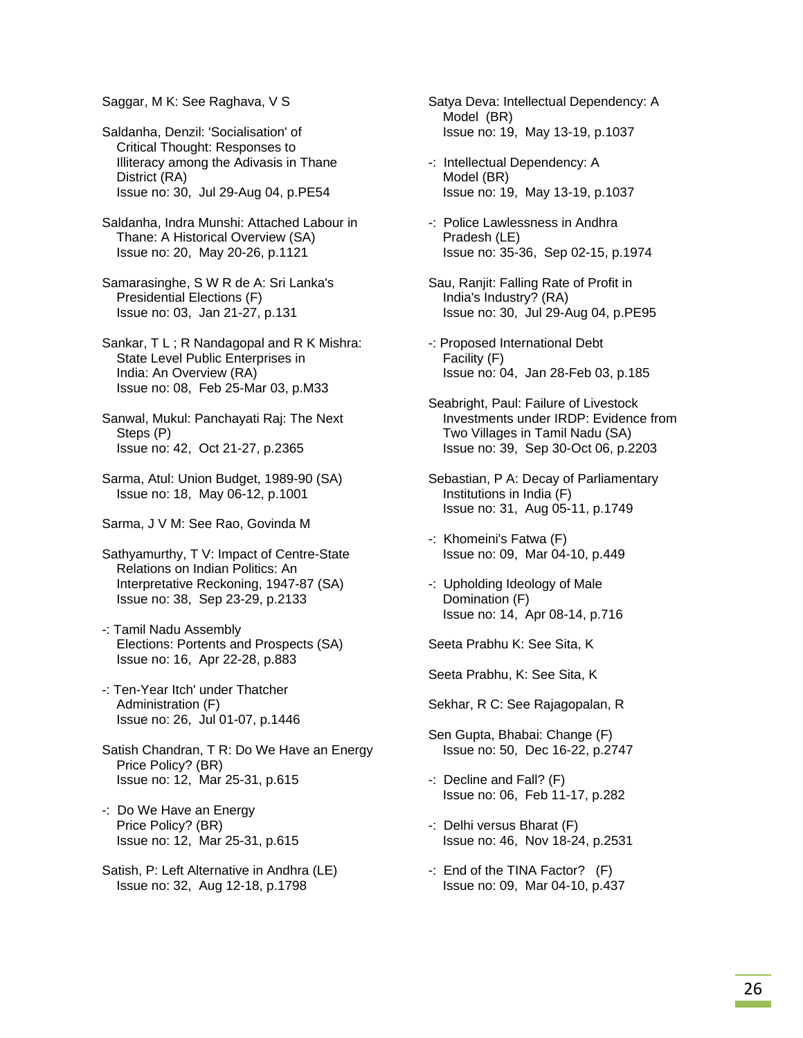Saggar, M K: See Raghava, V S

 Saldanha, Denzil: 'Socialisation' of Critical Thought: Responses to Illiteracy among the Adivasis in Thane District (RA) Issue no: 30, Jul 29-Aug 04, p.PE54

- Saldanha, Indra Munshi: Attached Labour in Thane: A Historical Overview (SA) Issue no: 20, May 20-26, p.1121
- Samarasinghe, S W R de A: Sri Lanka's Presidential Elections (F) Issue no: 03, Jan 21-27, p.131

 Sankar, T L ; R Nandagopal and R K Mishra: State Level Public Enterprises in India: An Overview (RA) Issue no: 08, Feb 25-Mar 03, p.M33

 Sanwal, Mukul: Panchayati Raj: The Next Steps (P) Issue no: 42, Oct 21-27, p.2365

- Sarma, Atul: Union Budget, 1989-90 (SA) Issue no: 18, May 06-12, p.1001
- Sarma, J V M: See Rao, Govinda M

 Sathyamurthy, T V: Impact of Centre-State Relations on Indian Politics: An Interpretative Reckoning, 1947-87 (SA) Issue no: 38, Sep 23-29, p.2133

- -: Tamil Nadu Assembly Elections: Portents and Prospects (SA) Issue no: 16, Apr 22-28, p.883
- -: Ten-Year Itch' under Thatcher Administration (F) Issue no: 26, Jul 01-07, p.1446
- Satish Chandran, T R: Do We Have an Energy Price Policy? (BR) Issue no: 12, Mar 25-31, p.615
- -: Do We Have an Energy Price Policy? (BR) Issue no: 12, Mar 25-31, p.615
- Satish, P: Left Alternative in Andhra (LE) Issue no: 32, Aug 12-18, p.1798
- Satya Deva: Intellectual Dependency: A Model (BR) Issue no: 19, May 13-19, p.1037
- -: Intellectual Dependency: A Model (BR) Issue no: 19, May 13-19, p.1037
- -: Police Lawlessness in Andhra Pradesh (LE) Issue no: 35-36, Sep 02-15, p.1974
- Sau, Ranjit: Falling Rate of Profit in India's Industry? (RA) Issue no: 30, Jul 29-Aug 04, p.PE95
- -: Proposed International Debt Facility (F) Issue no: 04, Jan 28-Feb 03, p.185
- Seabright, Paul: Failure of Livestock Investments under IRDP: Evidence from Two Villages in Tamil Nadu (SA) Issue no: 39, Sep 30-Oct 06, p.2203
- Sebastian, P A: Decay of Parliamentary Institutions in India (F) Issue no: 31, Aug 05-11, p.1749
- -: Khomeini's Fatwa (F) Issue no: 09, Mar 04-10, p.449
- -: Upholding Ideology of Male Domination (F) Issue no: 14, Apr 08-14, p.716

Seeta Prabhu K: See Sita, K

Seeta Prabhu, K: See Sita, K

Sekhar, R C: See Rajagopalan, R

- Sen Gupta, Bhabai: Change (F) Issue no: 50, Dec 16-22, p.2747
- -: Decline and Fall? (F) Issue no: 06, Feb 11-17, p.282
- -: Delhi versus Bharat (F) Issue no: 46, Nov 18-24, p.2531
- -: End of the TINA Factor? (F) Issue no: 09, Mar 04-10, p.437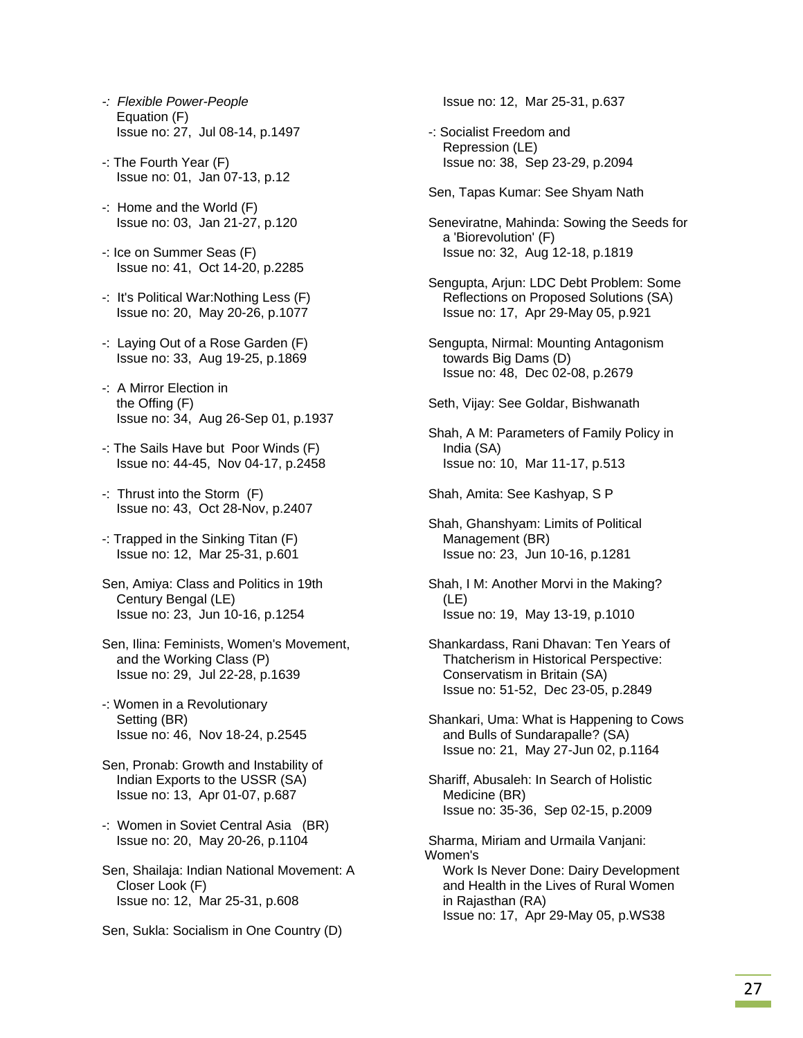- *-: Flexible Power-People*  Equation (F) Issue no: 27, Jul 08-14, p.1497
- -: The Fourth Year (F) Issue no: 01, Jan 07-13, p.12
- -: Home and the World (F) Issue no: 03, Jan 21-27, p.120
- -: Ice on Summer Seas (F) Issue no: 41, Oct 14-20, p.2285
- -: It's Political War:Nothing Less (F) Issue no: 20, May 20-26, p.1077
- -: Laying Out of a Rose Garden (F) Issue no: 33, Aug 19-25, p.1869
- -: A Mirror Election in the Offing (F) Issue no: 34, Aug 26-Sep 01, p.1937
- -: The Sails Have but Poor Winds (F) Issue no: 44-45, Nov 04-17, p.2458
- -: Thrust into the Storm (F) Issue no: 43, Oct 28-Nov, p.2407
- -: Trapped in the Sinking Titan (F) Issue no: 12, Mar 25-31, p.601
- Sen, Amiya: Class and Politics in 19th Century Bengal (LE) Issue no: 23, Jun 10-16, p.1254
- Sen, Ilina: Feminists, Women's Movement, and the Working Class (P) Issue no: 29, Jul 22-28, p.1639
- -: Women in a Revolutionary Setting (BR) Issue no: 46, Nov 18-24, p.2545
- Sen, Pronab: Growth and Instability of Indian Exports to the USSR (SA) Issue no: 13, Apr 01-07, p.687
- -: Women in Soviet Central Asia (BR) Issue no: 20, May 20-26, p.1104
- Sen, Shailaja: Indian National Movement: A Closer Look (F) Issue no: 12, Mar 25-31, p.608
- Sen, Sukla: Socialism in One Country (D)

Issue no: 12, Mar 25-31, p.637

- -: Socialist Freedom and Repression (LE) Issue no: 38, Sep 23-29, p.2094
- Sen, Tapas Kumar: See Shyam Nath
- Seneviratne, Mahinda: Sowing the Seeds for a 'Biorevolution' (F) Issue no: 32, Aug 12-18, p.1819
- Sengupta, Arjun: LDC Debt Problem: Some Reflections on Proposed Solutions (SA) Issue no: 17, Apr 29-May 05, p.921
- Sengupta, Nirmal: Mounting Antagonism towards Big Dams (D) Issue no: 48, Dec 02-08, p.2679
- Seth, Vijay: See Goldar, Bishwanath
- Shah, A M: Parameters of Family Policy in India (SA) Issue no: 10, Mar 11-17, p.513

Shah, Amita: See Kashyap, S P

- Shah, Ghanshyam: Limits of Political Management (BR) Issue no: 23, Jun 10-16, p.1281
- Shah, I M: Another Morvi in the Making? (LE) Issue no: 19, May 13-19, p.1010
- Shankardass, Rani Dhavan: Ten Years of Thatcherism in Historical Perspective: Conservatism in Britain (SA) Issue no: 51-52, Dec 23-05, p.2849
- Shankari, Uma: What is Happening to Cows and Bulls of Sundarapalle? (SA) Issue no: 21, May 27-Jun 02, p.1164
- Shariff, Abusaleh: In Search of Holistic Medicine (BR) Issue no: 35-36, Sep 02-15, p.2009
- Sharma, Miriam and Urmaila Vanjani: Women's Work Is Never Done: Dairy Development and Health in the Lives of Rural Women in Rajasthan (RA) Issue no: 17, Apr 29-May 05, p.WS38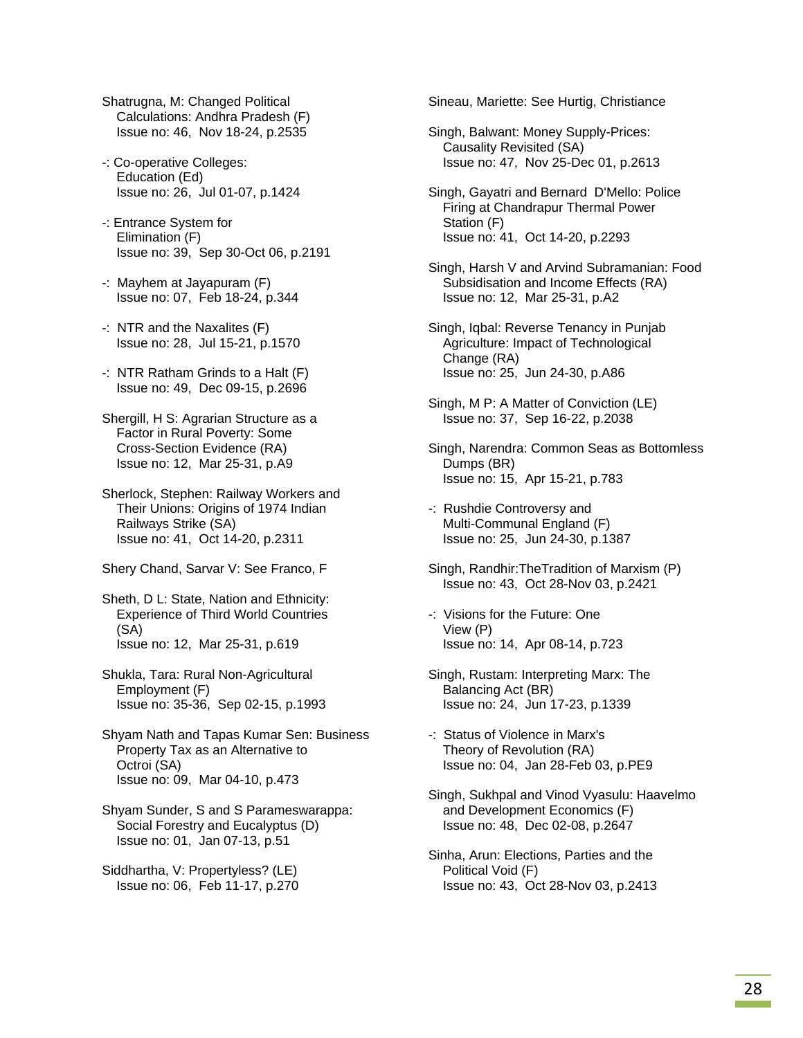Shatrugna, M: Changed Political Calculations: Andhra Pradesh (F) Issue no: 46, Nov 18-24, p.2535

- -: Co-operative Colleges: Education (Ed) Issue no: 26, Jul 01-07, p.1424
- -: Entrance System for Elimination (F) Issue no: 39, Sep 30-Oct 06, p.2191
- -: Mayhem at Jayapuram (F) Issue no: 07, Feb 18-24, p.344
- -: NTR and the Naxalites (F) Issue no: 28, Jul 15-21, p.1570
- -: NTR Ratham Grinds to a Halt (F) Issue no: 49, Dec 09-15, p.2696
- Shergill, H S: Agrarian Structure as a Factor in Rural Poverty: Some Cross-Section Evidence (RA) Issue no: 12, Mar 25-31, p.A9
- Sherlock, Stephen: Railway Workers and Their Unions: Origins of 1974 Indian Railways Strike (SA) Issue no: 41, Oct 14-20, p.2311
- Shery Chand, Sarvar V: See Franco, F
- Sheth, D L: State, Nation and Ethnicity: Experience of Third World Countries (SA) Issue no: 12, Mar 25-31, p.619
- Shukla, Tara: Rural Non-Agricultural Employment (F) Issue no: 35-36, Sep 02-15, p.1993
- Shyam Nath and Tapas Kumar Sen: Business Property Tax as an Alternative to Octroi (SA) Issue no: 09, Mar 04-10, p.473
- Shyam Sunder, S and S Parameswarappa: Social Forestry and Eucalyptus (D) Issue no: 01, Jan 07-13, p.51
- Siddhartha, V: Propertyless? (LE) Issue no: 06, Feb 11-17, p.270

Sineau, Mariette: See Hurtig, Christiance

- Singh, Balwant: Money Supply-Prices: Causality Revisited (SA) Issue no: 47, Nov 25-Dec 01, p.2613
- Singh, Gayatri and Bernard D'Mello: Police Firing at Chandrapur Thermal Power Station (F) Issue no: 41, Oct 14-20, p.2293
- Singh, Harsh V and Arvind Subramanian: Food Subsidisation and Income Effects (RA) Issue no: 12, Mar 25-31, p.A2
- Singh, Iqbal: Reverse Tenancy in Punjab Agriculture: Impact of Technological Change (RA) Issue no: 25, Jun 24-30, p.A86
- Singh, M P: A Matter of Conviction (LE) Issue no: 37, Sep 16-22, p.2038
- Singh, Narendra: Common Seas as Bottomless Dumps (BR) Issue no: 15, Apr 15-21, p.783
- -: Rushdie Controversy and Multi-Communal England (F) Issue no: 25, Jun 24-30, p.1387
- Singh, Randhir:TheTradition of Marxism (P) Issue no: 43, Oct 28-Nov 03, p.2421
- -: Visions for the Future: One View (P) Issue no: 14, Apr 08-14, p.723
- Singh, Rustam: Interpreting Marx: The Balancing Act (BR) Issue no: 24, Jun 17-23, p.1339
- -: Status of Violence in Marx's Theory of Revolution (RA) Issue no: 04, Jan 28-Feb 03, p.PE9
- Singh, Sukhpal and Vinod Vyasulu: Haavelmo and Development Economics (F) Issue no: 48, Dec 02-08, p.2647
- Sinha, Arun: Elections, Parties and the Political Void (F) Issue no: 43, Oct 28-Nov 03, p.2413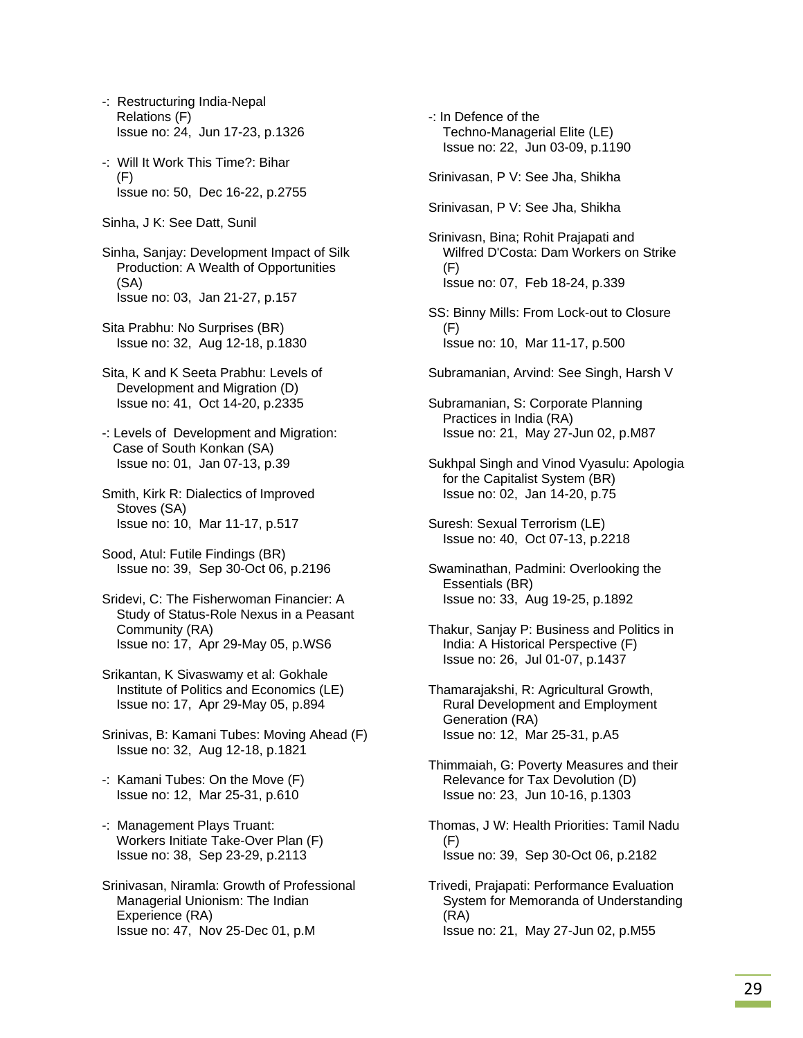- -: Restructuring India-Nepal Relations (F) Issue no: 24, Jun 17-23, p.1326
- -: Will It Work This Time?: Bihar (F) Issue no: 50, Dec 16-22, p.2755
- Sinha, J K: See Datt, Sunil
- Sinha, Sanjay: Development Impact of Silk Production: A Wealth of Opportunities (SA) Issue no: 03, Jan 21-27, p.157
- Sita Prabhu: No Surprises (BR) Issue no: 32, Aug 12-18, p.1830
- Sita, K and K Seeta Prabhu: Levels of Development and Migration (D) Issue no: 41, Oct 14-20, p.2335
- -: Levels of Development and Migration: Case of South Konkan (SA) Issue no: 01, Jan 07-13, p.39
- Smith, Kirk R: Dialectics of Improved Stoves (SA) Issue no: 10, Mar 11-17, p.517
- Sood, Atul: Futile Findings (BR) Issue no: 39, Sep 30-Oct 06, p.2196
- Sridevi, C: The Fisherwoman Financier: A Study of Status-Role Nexus in a Peasant Community (RA) Issue no: 17, Apr 29-May 05, p.WS6
- Srikantan, K Sivaswamy et al: Gokhale Institute of Politics and Economics (LE) Issue no: 17, Apr 29-May 05, p.894
- Srinivas, B: Kamani Tubes: Moving Ahead (F) Issue no: 32, Aug 12-18, p.1821
- -: Kamani Tubes: On the Move (F) Issue no: 12, Mar 25-31, p.610
- -: Management Plays Truant: Workers Initiate Take-Over Plan (F) Issue no: 38, Sep 23-29, p.2113
- Srinivasan, Niramla: Growth of Professional Managerial Unionism: The Indian Experience (RA) Issue no: 47, Nov 25-Dec 01, p.M
- -: In Defence of the Techno-Managerial Elite (LE) Issue no: 22, Jun 03-09, p.1190
- Srinivasan, P V: See Jha, Shikha
- Srinivasan, P V: See Jha, Shikha
- Srinivasn, Bina; Rohit Prajapati and Wilfred D'Costa: Dam Workers on Strike (F) Issue no: 07, Feb 18-24, p.339
- SS: Binny Mills: From Lock-out to Closure (F) Issue no: 10, Mar 11-17, p.500
- Subramanian, Arvind: See Singh, Harsh V
- Subramanian, S: Corporate Planning Practices in India (RA) Issue no: 21, May 27-Jun 02, p.M87
- Sukhpal Singh and Vinod Vyasulu: Apologia for the Capitalist System (BR) Issue no: 02, Jan 14-20, p.75
- Suresh: Sexual Terrorism (LE) Issue no: 40, Oct 07-13, p.2218
- Swaminathan, Padmini: Overlooking the Essentials (BR) Issue no: 33, Aug 19-25, p.1892
- Thakur, Sanjay P: Business and Politics in India: A Historical Perspective (F) Issue no: 26, Jul 01-07, p.1437
- Thamarajakshi, R: Agricultural Growth, Rural Development and Employment Generation (RA) Issue no: 12, Mar 25-31, p.A5
- Thimmaiah, G: Poverty Measures and their Relevance for Tax Devolution (D) Issue no: 23, Jun 10-16, p.1303
- Thomas, J W: Health Priorities: Tamil Nadu (F) Issue no: 39, Sep 30-Oct 06, p.2182
- Trivedi, Prajapati: Performance Evaluation System for Memoranda of Understanding (RA) Issue no: 21, May 27-Jun 02, p.M55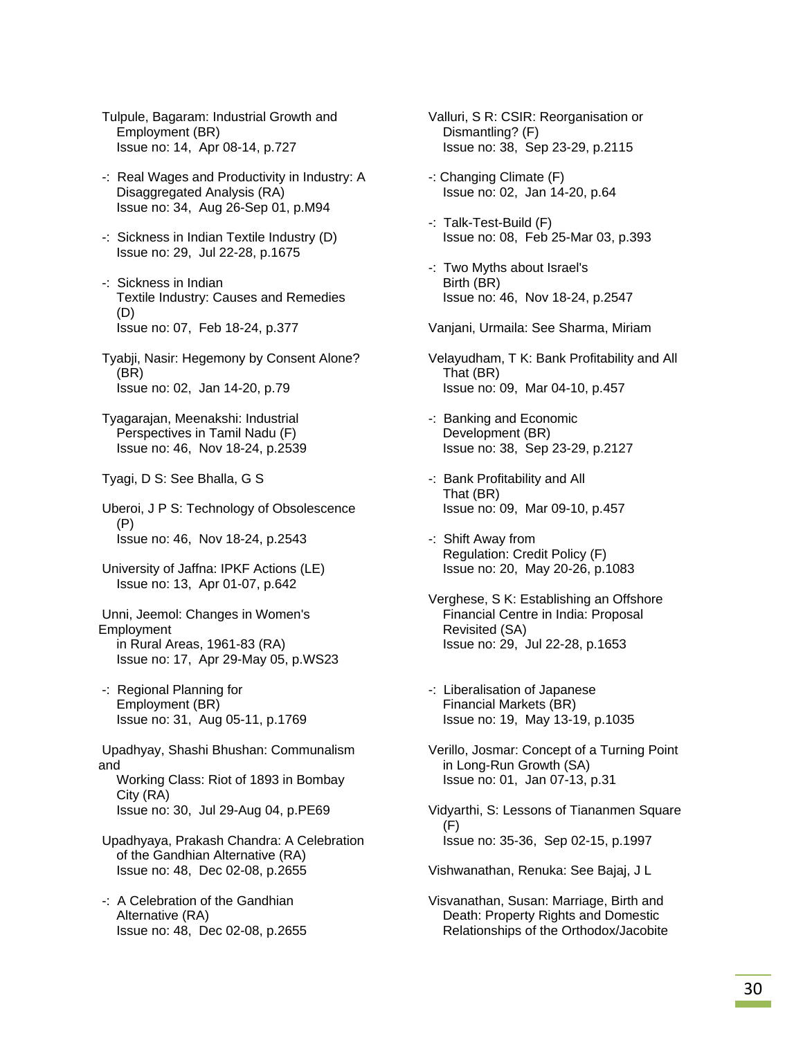Tulpule, Bagaram: Industrial Growth and Employment (BR) Issue no: 14, Apr 08-14, p.727

- -: Real Wages and Productivity in Industry: A Disaggregated Analysis (RA) Issue no: 34, Aug 26-Sep 01, p.M94
- -: Sickness in Indian Textile Industry (D) Issue no: 29, Jul 22-28, p.1675
- -: Sickness in Indian Textile Industry: Causes and Remedies (D) Issue no: 07, Feb 18-24, p.377

 Tyabji, Nasir: Hegemony by Consent Alone? (BR) Issue no: 02, Jan 14-20, p.79

 Tyagarajan, Meenakshi: Industrial Perspectives in Tamil Nadu (F) Issue no: 46, Nov 18-24, p.2539

Tyagi, D S: See Bhalla, G S

 Uberoi, J P S: Technology of Obsolescence (P) Issue no: 46, Nov 18-24, p.2543

 University of Jaffna: IPKF Actions (LE) Issue no: 13, Apr 01-07, p.642

 Unni, Jeemol: Changes in Women's **Employment**  in Rural Areas, 1961-83 (RA) Issue no: 17, Apr 29-May 05, p.WS23

 -: Regional Planning for Employment (BR) Issue no: 31, Aug 05-11, p.1769

 Upadhyay, Shashi Bhushan: Communalism and Working Class: Riot of 1893 in Bombay

 City (RA) Issue no: 30, Jul 29-Aug 04, p.PE69

- Upadhyaya, Prakash Chandra: A Celebration of the Gandhian Alternative (RA) Issue no: 48, Dec 02-08, p.2655
- -: A Celebration of the Gandhian Alternative (RA) Issue no: 48, Dec 02-08, p.2655

 Valluri, S R: CSIR: Reorganisation or Dismantling? (F) Issue no: 38, Sep 23-29, p.2115

- -: Changing Climate (F) Issue no: 02, Jan 14-20, p.64
- -: Talk-Test-Build (F) Issue no: 08, Feb 25-Mar 03, p.393
- -: Two Myths about Israel's Birth (BR) Issue no: 46, Nov 18-24, p.2547

Vanjani, Urmaila: See Sharma, Miriam

- Velayudham, T K: Bank Profitability and All That (BR) Issue no: 09, Mar 04-10, p.457
- -: Banking and Economic Development (BR) Issue no: 38, Sep 23-29, p.2127
- -: Bank Profitability and All That (BR) Issue no: 09, Mar 09-10, p.457
- -: Shift Away from Regulation: Credit Policy (F) Issue no: 20, May 20-26, p.1083
- Verghese, S K: Establishing an Offshore Financial Centre in India: Proposal Revisited (SA) Issue no: 29, Jul 22-28, p.1653
- -: Liberalisation of Japanese Financial Markets (BR) Issue no: 19, May 13-19, p.1035
- Verillo, Josmar: Concept of a Turning Point in Long-Run Growth (SA) Issue no: 01, Jan 07-13, p.31
- Vidyarthi, S: Lessons of Tiananmen Square (F) Issue no: 35-36, Sep 02-15, p.1997

Vishwanathan, Renuka: See Bajaj, J L

 Visvanathan, Susan: Marriage, Birth and Death: Property Rights and Domestic Relationships of the Orthodox/Jacobite